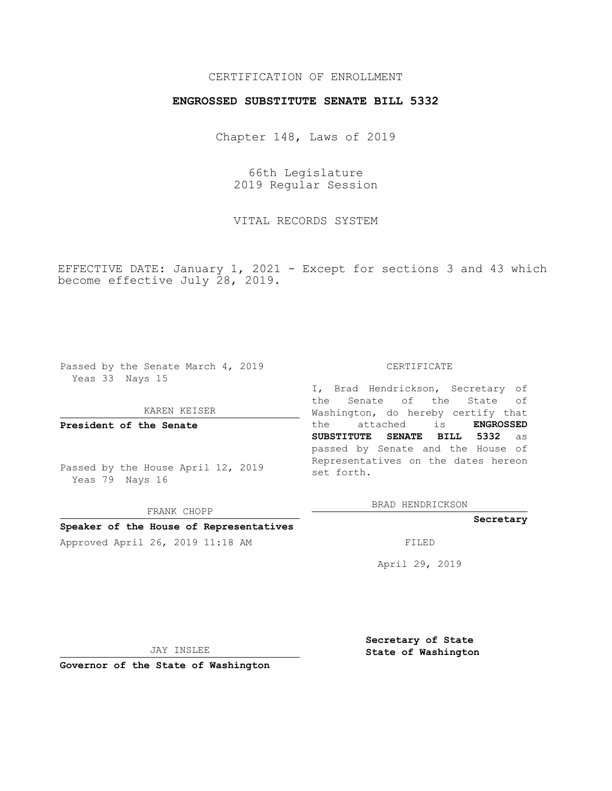# CERTIFICATION OF ENROLLMENT

### **ENGROSSED SUBSTITUTE SENATE BILL 5332**

Chapter 148, Laws of 2019

66th Legislature 2019 Regular Session

VITAL RECORDS SYSTEM

EFFECTIVE DATE: January 1, 2021 - Except for sections 3 and 43 which become effective July 28, 2019.

Passed by the Senate March 4, 2019 Yeas 33 Nays 15

#### KAREN KEISER

**President of the Senate**

Passed by the House April 12, 2019 Yeas 79 Nays 16

FRANK CHOPP **Speaker of the House of Representatives**

#### CERTIFICATE

I, Brad Hendrickson, Secretary of the Senate of the State of Washington, do hereby certify that the attached is **ENGROSSED SUBSTITUTE SENATE BILL 5332** as passed by Senate and the House of Representatives on the dates hereon set forth.

BRAD HENDRICKSON

### **Secretary**

Approved April 26, 2019 11:18 AM FILED

April 29, 2019

JAY INSLEE

**Governor of the State of Washington**

**Secretary of State State of Washington**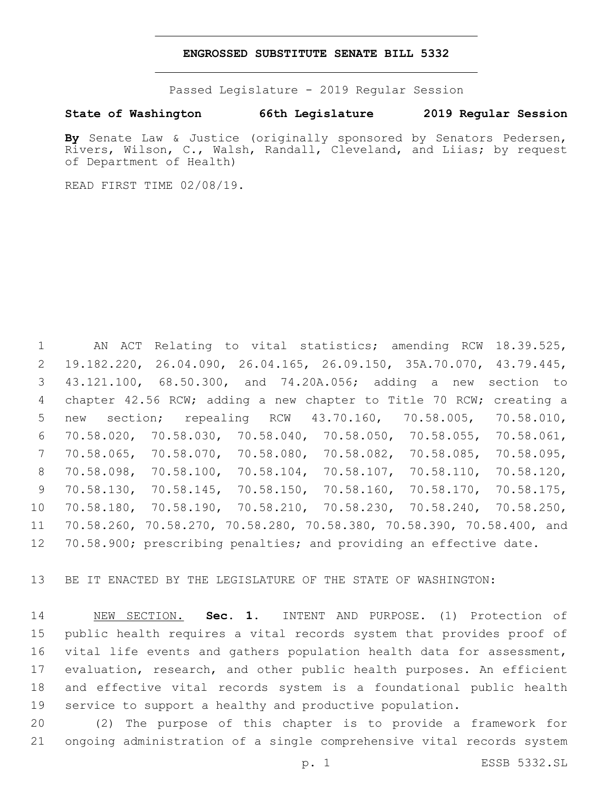### **ENGROSSED SUBSTITUTE SENATE BILL 5332**

Passed Legislature - 2019 Regular Session

## **State of Washington 66th Legislature 2019 Regular Session**

By Senate Law & Justice (originally sponsored by Senators Pedersen, Rivers, Wilson, C., Walsh, Randall, Cleveland, and Liias; by request of Department of Health)

READ FIRST TIME 02/08/19.

 AN ACT Relating to vital statistics; amending RCW 18.39.525, 19.182.220, 26.04.090, 26.04.165, 26.09.150, 35A.70.070, 43.79.445, 43.121.100, 68.50.300, and 74.20A.056; adding a new section to chapter 42.56 RCW; adding a new chapter to Title 70 RCW; creating a new section; repealing RCW 43.70.160, 70.58.005, 70.58.010, 70.58.020, 70.58.030, 70.58.040, 70.58.050, 70.58.055, 70.58.061, 70.58.065, 70.58.070, 70.58.080, 70.58.082, 70.58.085, 70.58.095, 70.58.098, 70.58.100, 70.58.104, 70.58.107, 70.58.110, 70.58.120, 70.58.130, 70.58.145, 70.58.150, 70.58.160, 70.58.170, 70.58.175, 70.58.180, 70.58.190, 70.58.210, 70.58.230, 70.58.240, 70.58.250, 70.58.260, 70.58.270, 70.58.280, 70.58.380, 70.58.390, 70.58.400, and 12 70.58.900; prescribing penalties; and providing an effective date.

BE IT ENACTED BY THE LEGISLATURE OF THE STATE OF WASHINGTON:

 NEW SECTION. **Sec. 1.** INTENT AND PURPOSE. (1) Protection of public health requires a vital records system that provides proof of vital life events and gathers population health data for assessment, evaluation, research, and other public health purposes. An efficient and effective vital records system is a foundational public health service to support a healthy and productive population.

 (2) The purpose of this chapter is to provide a framework for ongoing administration of a single comprehensive vital records system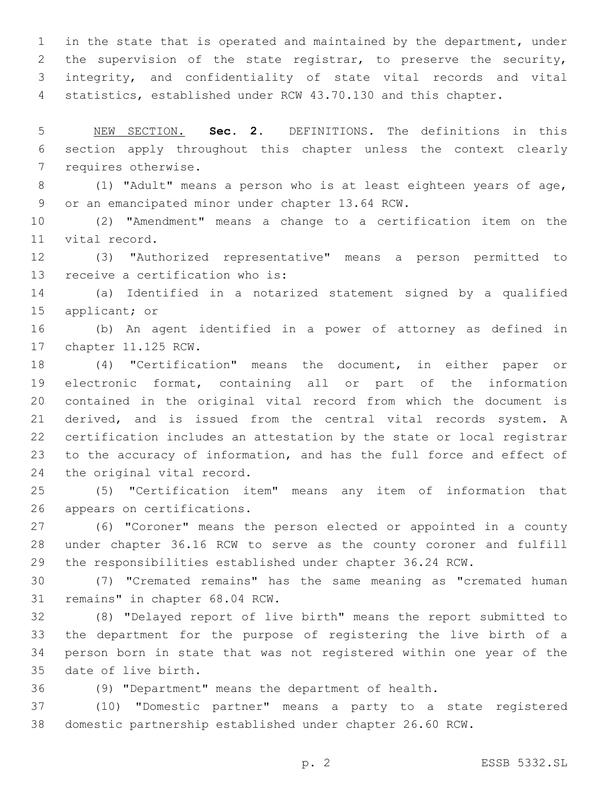in the state that is operated and maintained by the department, under the supervision of the state registrar, to preserve the security, integrity, and confidentiality of state vital records and vital statistics, established under RCW 43.70.130 and this chapter.

 NEW SECTION. **Sec. 2.** DEFINITIONS. The definitions in this section apply throughout this chapter unless the context clearly requires otherwise.

 (1) "Adult" means a person who is at least eighteen years of age, 9 or an emancipated minor under chapter 13.64 RCW.

 (2) "Amendment" means a change to a certification item on the 11 vital record.

 (3) "Authorized representative" means a person permitted to 13 receive a certification who is:

 (a) Identified in a notarized statement signed by a qualified 15 applicant; or

 (b) An agent identified in a power of attorney as defined in 17 chapter 11.125 RCW.

 (4) "Certification" means the document, in either paper or electronic format, containing all or part of the information contained in the original vital record from which the document is derived, and is issued from the central vital records system. A certification includes an attestation by the state or local registrar to the accuracy of information, and has the full force and effect of 24 the original vital record.

 (5) "Certification item" means any item of information that 26 appears on certifications.

 (6) "Coroner" means the person elected or appointed in a county under chapter 36.16 RCW to serve as the county coroner and fulfill the responsibilities established under chapter 36.24 RCW.

 (7) "Cremated remains" has the same meaning as "cremated human 31 remains" in chapter 68.04 RCW.

 (8) "Delayed report of live birth" means the report submitted to the department for the purpose of registering the live birth of a person born in state that was not registered within one year of the 35 date of live birth.

(9) "Department" means the department of health.

 (10) "Domestic partner" means a party to a state registered domestic partnership established under chapter 26.60 RCW.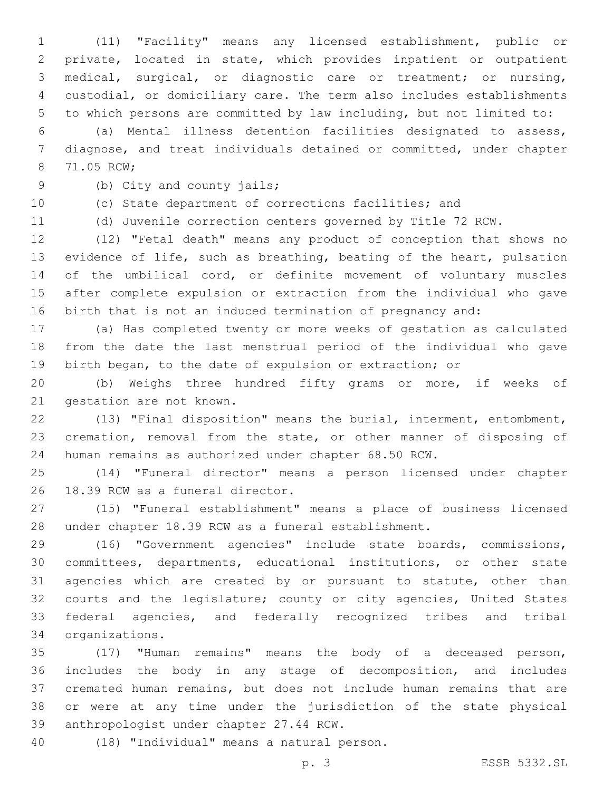(11) "Facility" means any licensed establishment, public or private, located in state, which provides inpatient or outpatient medical, surgical, or diagnostic care or treatment; or nursing, custodial, or domiciliary care. The term also includes establishments to which persons are committed by law including, but not limited to:

 (a) Mental illness detention facilities designated to assess, diagnose, and treat individuals detained or committed, under chapter 8 71.05 RCW;

9 (b) City and county jails;

(c) State department of corrections facilities; and

(d) Juvenile correction centers governed by Title 72 RCW.

 (12) "Fetal death" means any product of conception that shows no evidence of life, such as breathing, beating of the heart, pulsation 14 of the umbilical cord, or definite movement of voluntary muscles after complete expulsion or extraction from the individual who gave birth that is not an induced termination of pregnancy and:

 (a) Has completed twenty or more weeks of gestation as calculated from the date the last menstrual period of the individual who gave birth began, to the date of expulsion or extraction; or

 (b) Weighs three hundred fifty grams or more, if weeks of 21 gestation are not known.

 (13) "Final disposition" means the burial, interment, entombment, cremation, removal from the state, or other manner of disposing of human remains as authorized under chapter 68.50 RCW.

 (14) "Funeral director" means a person licensed under chapter 26 18.39 RCW as a funeral director.

 (15) "Funeral establishment" means a place of business licensed under chapter 18.39 RCW as a funeral establishment.

 (16) "Government agencies" include state boards, commissions, committees, departments, educational institutions, or other state agencies which are created by or pursuant to statute, other than courts and the legislature; county or city agencies, United States federal agencies, and federally recognized tribes and tribal organizations.34

 (17) "Human remains" means the body of a deceased person, includes the body in any stage of decomposition, and includes cremated human remains, but does not include human remains that are or were at any time under the jurisdiction of the state physical 39 anthropologist under chapter 27.44 RCW.

(18) "Individual" means a natural person.40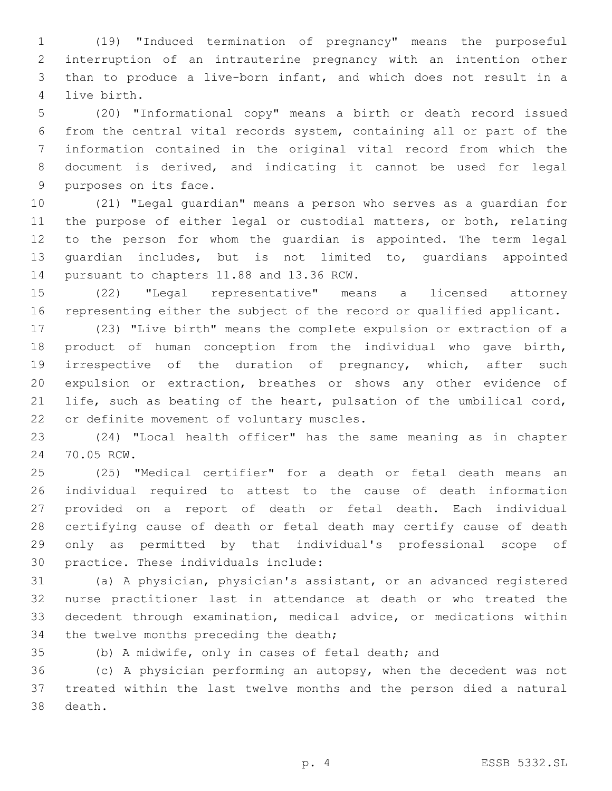(19) "Induced termination of pregnancy" means the purposeful interruption of an intrauterine pregnancy with an intention other than to produce a live-born infant, and which does not result in a 4 live birth.

 (20) "Informational copy" means a birth or death record issued from the central vital records system, containing all or part of the information contained in the original vital record from which the document is derived, and indicating it cannot be used for legal 9 purposes on its face.

 (21) "Legal guardian" means a person who serves as a guardian for the purpose of either legal or custodial matters, or both, relating to the person for whom the guardian is appointed. The term legal guardian includes, but is not limited to, guardians appointed 14 pursuant to chapters 11.88 and 13.36 RCW.

 (22) "Legal representative" means a licensed attorney representing either the subject of the record or qualified applicant.

 (23) "Live birth" means the complete expulsion or extraction of a product of human conception from the individual who gave birth, 19 irrespective of the duration of pregnancy, which, after such expulsion or extraction, breathes or shows any other evidence of life, such as beating of the heart, pulsation of the umbilical cord, 22 or definite movement of voluntary muscles.

 (24) "Local health officer" has the same meaning as in chapter 24 70.05 RCW.

 (25) "Medical certifier" for a death or fetal death means an individual required to attest to the cause of death information provided on a report of death or fetal death. Each individual certifying cause of death or fetal death may certify cause of death only as permitted by that individual's professional scope of 30 practice. These individuals include:

 (a) A physician, physician's assistant, or an advanced registered nurse practitioner last in attendance at death or who treated the decedent through examination, medical advice, or medications within 34 the twelve months preceding the death;

(b) A midwife, only in cases of fetal death; and

 (c) A physician performing an autopsy, when the decedent was not treated within the last twelve months and the person died a natural 38 death.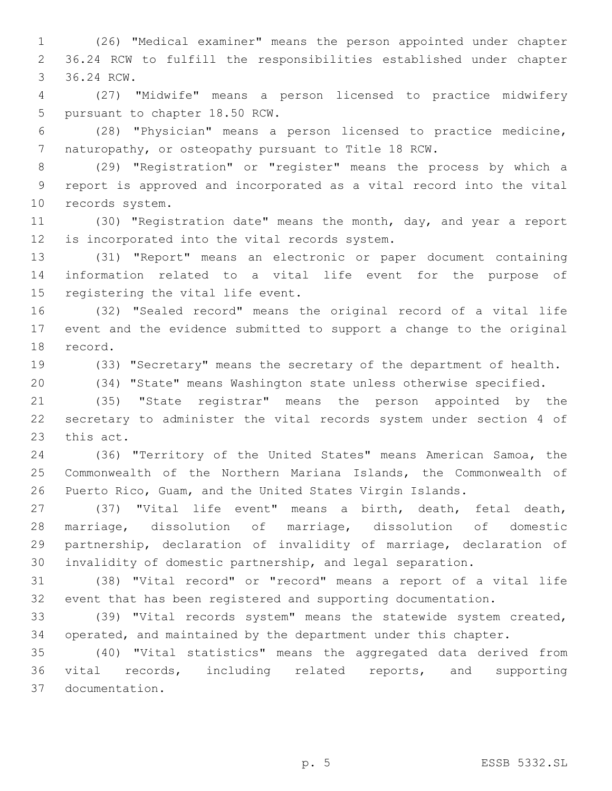(26) "Medical examiner" means the person appointed under chapter 36.24 RCW to fulfill the responsibilities established under chapter 3 36.24 RCW.

 (27) "Midwife" means a person licensed to practice midwifery 5 pursuant to chapter 18.50 RCW.

 (28) "Physician" means a person licensed to practice medicine, naturopathy, or osteopathy pursuant to Title 18 RCW.

 (29) "Registration" or "register" means the process by which a report is approved and incorporated as a vital record into the vital 10 records system.

 (30) "Registration date" means the month, day, and year a report 12 is incorporated into the vital records system.

 (31) "Report" means an electronic or paper document containing information related to a vital life event for the purpose of 15 registering the vital life event.

 (32) "Sealed record" means the original record of a vital life event and the evidence submitted to support a change to the original 18 record.

(33) "Secretary" means the secretary of the department of health.

(34) "State" means Washington state unless otherwise specified.

 (35) "State registrar" means the person appointed by the secretary to administer the vital records system under section 4 of 23 this act.

 (36) "Territory of the United States" means American Samoa, the Commonwealth of the Northern Mariana Islands, the Commonwealth of Puerto Rico, Guam, and the United States Virgin Islands.

 (37) "Vital life event" means a birth, death, fetal death, marriage, dissolution of marriage, dissolution of domestic partnership, declaration of invalidity of marriage, declaration of invalidity of domestic partnership, and legal separation.

 (38) "Vital record" or "record" means a report of a vital life event that has been registered and supporting documentation.

 (39) "Vital records system" means the statewide system created, operated, and maintained by the department under this chapter.

 (40) "Vital statistics" means the aggregated data derived from vital records, including related reports, and supporting documentation.37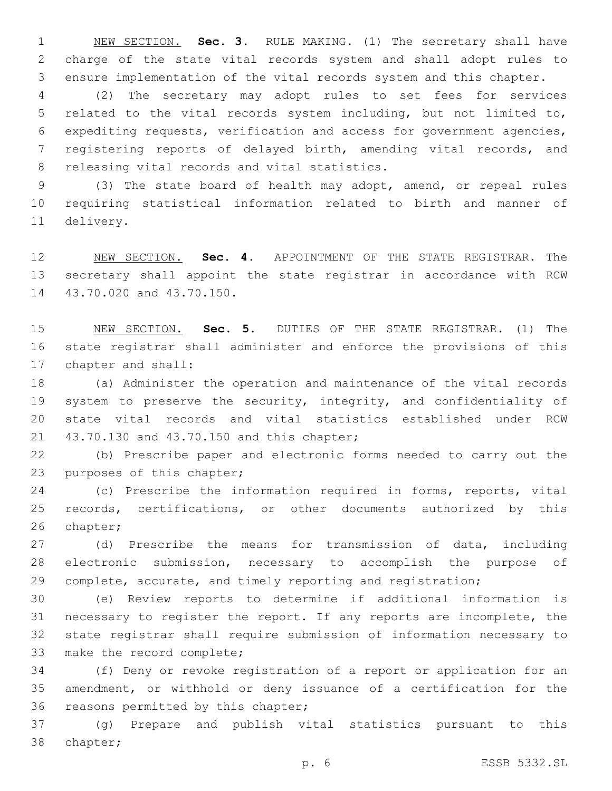NEW SECTION. **Sec. 3.** RULE MAKING. (1) The secretary shall have charge of the state vital records system and shall adopt rules to ensure implementation of the vital records system and this chapter.

 (2) The secretary may adopt rules to set fees for services related to the vital records system including, but not limited to, expediting requests, verification and access for government agencies, registering reports of delayed birth, amending vital records, and 8 releasing vital records and vital statistics.

 (3) The state board of health may adopt, amend, or repeal rules requiring statistical information related to birth and manner of 11 delivery.

 NEW SECTION. **Sec. 4.** APPOINTMENT OF THE STATE REGISTRAR. The secretary shall appoint the state registrar in accordance with RCW 43.70.020 and 43.70.150.

 NEW SECTION. **Sec. 5.** DUTIES OF THE STATE REGISTRAR. (1) The state registrar shall administer and enforce the provisions of this chapter and shall:

 (a) Administer the operation and maintenance of the vital records 19 system to preserve the security, integrity, and confidentiality of state vital records and vital statistics established under RCW 21 43.70.130 and 43.70.150 and this chapter;

 (b) Prescribe paper and electronic forms needed to carry out the 23 purposes of this chapter;

 (c) Prescribe the information required in forms, reports, vital records, certifications, or other documents authorized by this 26 chapter;

 (d) Prescribe the means for transmission of data, including electronic submission, necessary to accomplish the purpose of complete, accurate, and timely reporting and registration;

 (e) Review reports to determine if additional information is necessary to register the report. If any reports are incomplete, the state registrar shall require submission of information necessary to 33 make the record complete;

 (f) Deny or revoke registration of a report or application for an amendment, or withhold or deny issuance of a certification for the 36 reasons permitted by this chapter;

 (g) Prepare and publish vital statistics pursuant to this 38 chapter;

p. 6 ESSB 5332.SL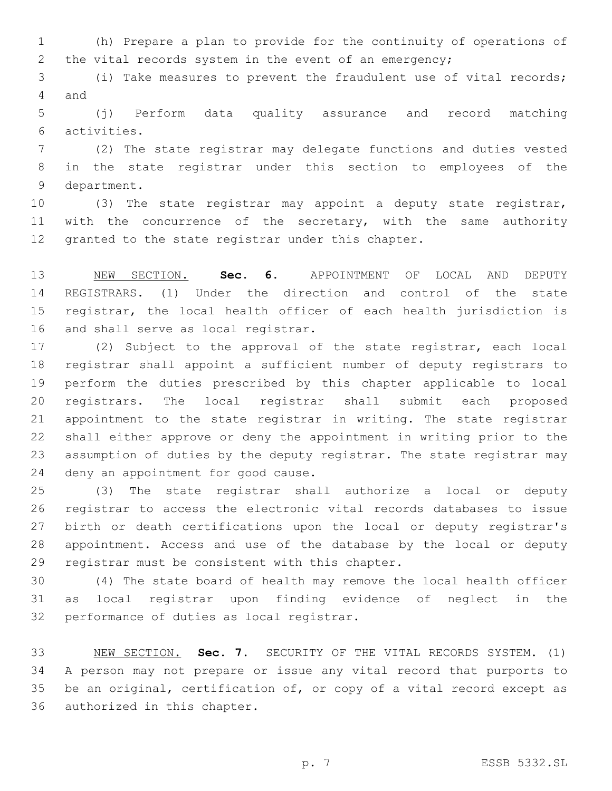(h) Prepare a plan to provide for the continuity of operations of the vital records system in the event of an emergency;

 (i) Take measures to prevent the fraudulent use of vital records; 4 and

 (j) Perform data quality assurance and record matching activities.6

 (2) The state registrar may delegate functions and duties vested in the state registrar under this section to employees of the 9 department.

 (3) The state registrar may appoint a deputy state registrar, 11 with the concurrence of the secretary, with the same authority granted to the state registrar under this chapter.

 NEW SECTION. **Sec. 6.** APPOINTMENT OF LOCAL AND DEPUTY REGISTRARS. (1) Under the direction and control of the state registrar, the local health officer of each health jurisdiction is and shall serve as local registrar.

 (2) Subject to the approval of the state registrar, each local registrar shall appoint a sufficient number of deputy registrars to perform the duties prescribed by this chapter applicable to local registrars. The local registrar shall submit each proposed appointment to the state registrar in writing. The state registrar shall either approve or deny the appointment in writing prior to the assumption of duties by the deputy registrar. The state registrar may 24 deny an appointment for good cause.

 (3) The state registrar shall authorize a local or deputy registrar to access the electronic vital records databases to issue birth or death certifications upon the local or deputy registrar's appointment. Access and use of the database by the local or deputy 29 registrar must be consistent with this chapter.

 (4) The state board of health may remove the local health officer as local registrar upon finding evidence of neglect in the 32 performance of duties as local registrar.

 NEW SECTION. **Sec. 7.** SECURITY OF THE VITAL RECORDS SYSTEM. (1) A person may not prepare or issue any vital record that purports to be an original, certification of, or copy of a vital record except as authorized in this chapter.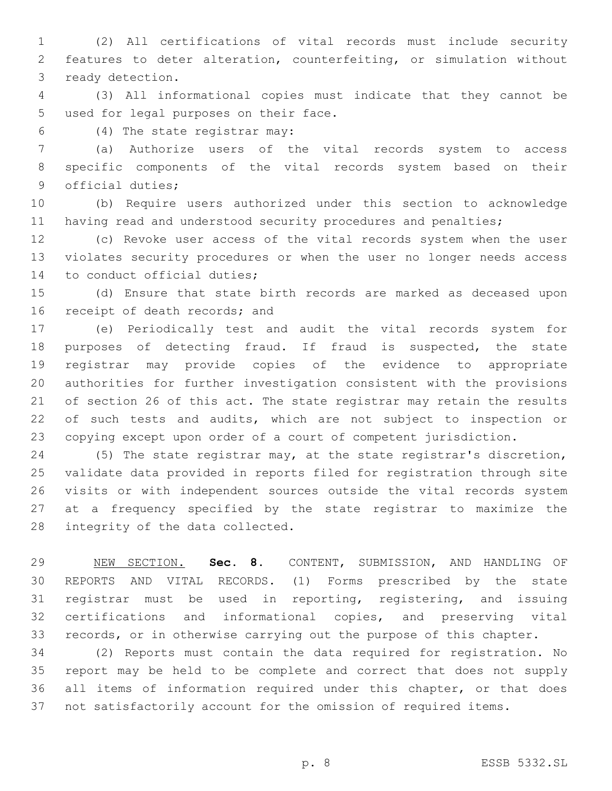(2) All certifications of vital records must include security features to deter alteration, counterfeiting, or simulation without 3 ready detection.

 (3) All informational copies must indicate that they cannot be 5 used for legal purposes on their face.

(4) The state registrar may:6

 (a) Authorize users of the vital records system to access specific components of the vital records system based on their 9 official duties;

 (b) Require users authorized under this section to acknowledge 11 having read and understood security procedures and penalties;

 (c) Revoke user access of the vital records system when the user violates security procedures or when the user no longer needs access 14 to conduct official duties;

 (d) Ensure that state birth records are marked as deceased upon 16 receipt of death records; and

 (e) Periodically test and audit the vital records system for purposes of detecting fraud. If fraud is suspected, the state registrar may provide copies of the evidence to appropriate authorities for further investigation consistent with the provisions of section 26 of this act. The state registrar may retain the results 22 of such tests and audits, which are not subject to inspection or copying except upon order of a court of competent jurisdiction.

 (5) The state registrar may, at the state registrar's discretion, validate data provided in reports filed for registration through site visits or with independent sources outside the vital records system at a frequency specified by the state registrar to maximize the 28 integrity of the data collected.

 NEW SECTION. **Sec. 8.** CONTENT, SUBMISSION, AND HANDLING OF REPORTS AND VITAL RECORDS. (1) Forms prescribed by the state registrar must be used in reporting, registering, and issuing certifications and informational copies, and preserving vital records, or in otherwise carrying out the purpose of this chapter.

 (2) Reports must contain the data required for registration. No report may be held to be complete and correct that does not supply all items of information required under this chapter, or that does not satisfactorily account for the omission of required items.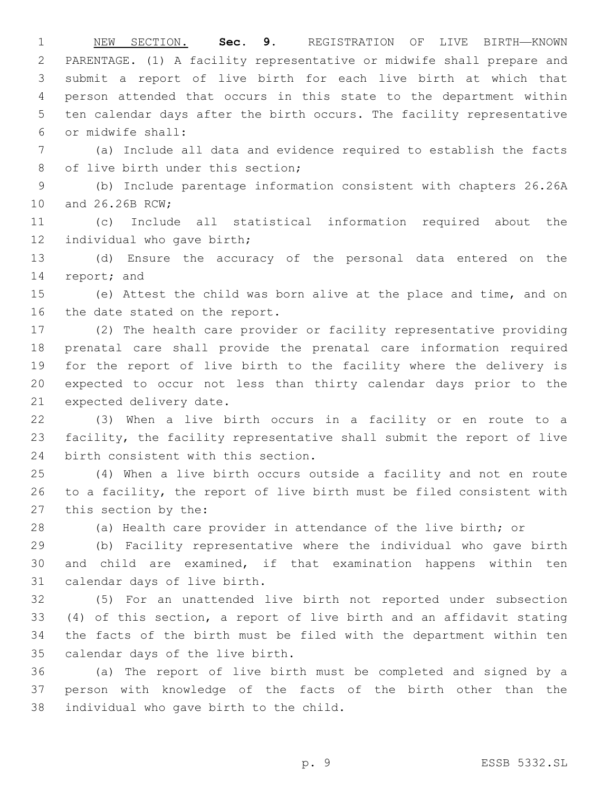NEW SECTION. **Sec. 9.** REGISTRATION OF LIVE BIRTH—KNOWN PARENTAGE. (1) A facility representative or midwife shall prepare and submit a report of live birth for each live birth at which that person attended that occurs in this state to the department within ten calendar days after the birth occurs. The facility representative or midwife shall:

 (a) Include all data and evidence required to establish the facts 8 of live birth under this section;

 (b) Include parentage information consistent with chapters 26.26A 10 and 26.26B RCW;

 (c) Include all statistical information required about the 12 individual who gave birth;

 (d) Ensure the accuracy of the personal data entered on the 14 report; and

 (e) Attest the child was born alive at the place and time, and on 16 the date stated on the report.

 (2) The health care provider or facility representative providing prenatal care shall provide the prenatal care information required for the report of live birth to the facility where the delivery is expected to occur not less than thirty calendar days prior to the 21 expected delivery date.

 (3) When a live birth occurs in a facility or en route to a facility, the facility representative shall submit the report of live 24 birth consistent with this section.

 (4) When a live birth occurs outside a facility and not en route to a facility, the report of live birth must be filed consistent with 27 this section by the:

(a) Health care provider in attendance of the live birth; or

 (b) Facility representative where the individual who gave birth and child are examined, if that examination happens within ten 31 calendar days of live birth.

 (5) For an unattended live birth not reported under subsection (4) of this section, a report of live birth and an affidavit stating the facts of the birth must be filed with the department within ten 35 calendar days of the live birth.

 (a) The report of live birth must be completed and signed by a person with knowledge of the facts of the birth other than the 38 individual who gave birth to the child.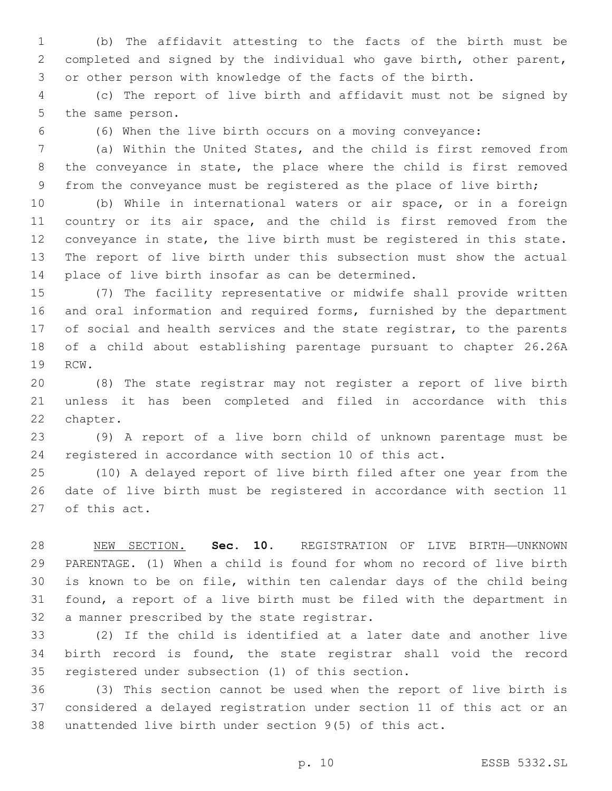(b) The affidavit attesting to the facts of the birth must be completed and signed by the individual who gave birth, other parent, or other person with knowledge of the facts of the birth.

 (c) The report of live birth and affidavit must not be signed by 5 the same person.

(6) When the live birth occurs on a moving conveyance:

 (a) Within the United States, and the child is first removed from the conveyance in state, the place where the child is first removed 9 from the conveyance must be registered as the place of live birth;

 (b) While in international waters or air space, or in a foreign country or its air space, and the child is first removed from the conveyance in state, the live birth must be registered in this state. The report of live birth under this subsection must show the actual 14 place of live birth insofar as can be determined.

 (7) The facility representative or midwife shall provide written and oral information and required forms, furnished by the department 17 of social and health services and the state registrar, to the parents of a child about establishing parentage pursuant to chapter 26.26A 19 RCW.

 (8) The state registrar may not register a report of live birth unless it has been completed and filed in accordance with this 22 chapter.

 (9) A report of a live born child of unknown parentage must be registered in accordance with section 10 of this act.

 (10) A delayed report of live birth filed after one year from the date of live birth must be registered in accordance with section 11 27 of this act.

 NEW SECTION. **Sec. 10.** REGISTRATION OF LIVE BIRTH—UNKNOWN PARENTAGE. (1) When a child is found for whom no record of live birth is known to be on file, within ten calendar days of the child being found, a report of a live birth must be filed with the department in a manner prescribed by the state registrar.

 (2) If the child is identified at a later date and another live birth record is found, the state registrar shall void the record 35 registered under subsection (1) of this section.

 (3) This section cannot be used when the report of live birth is considered a delayed registration under section 11 of this act or an unattended live birth under section 9(5) of this act.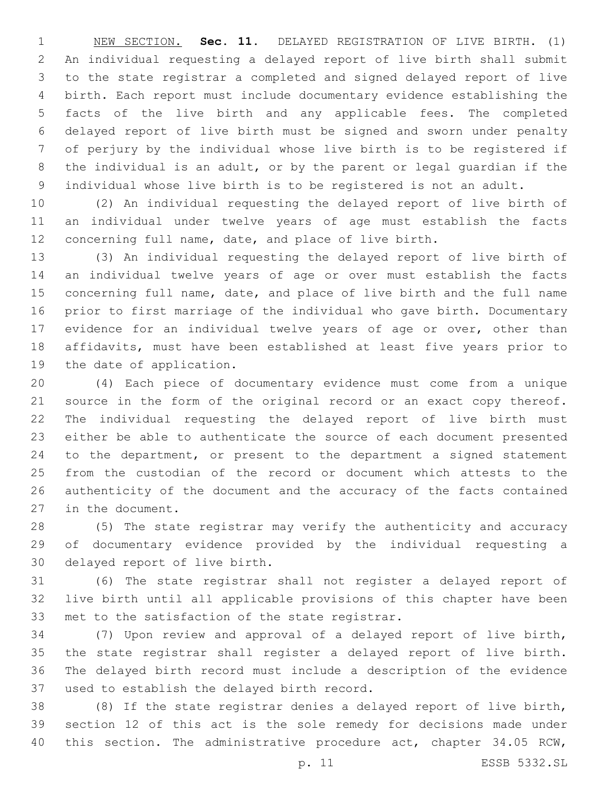NEW SECTION. **Sec. 11.** DELAYED REGISTRATION OF LIVE BIRTH. (1) An individual requesting a delayed report of live birth shall submit to the state registrar a completed and signed delayed report of live birth. Each report must include documentary evidence establishing the facts of the live birth and any applicable fees. The completed delayed report of live birth must be signed and sworn under penalty of perjury by the individual whose live birth is to be registered if the individual is an adult, or by the parent or legal guardian if the individual whose live birth is to be registered is not an adult.

 (2) An individual requesting the delayed report of live birth of an individual under twelve years of age must establish the facts concerning full name, date, and place of live birth.

 (3) An individual requesting the delayed report of live birth of an individual twelve years of age or over must establish the facts concerning full name, date, and place of live birth and the full name prior to first marriage of the individual who gave birth. Documentary evidence for an individual twelve years of age or over, other than affidavits, must have been established at least five years prior to 19 the date of application.

 (4) Each piece of documentary evidence must come from a unique 21 source in the form of the original record or an exact copy thereof. The individual requesting the delayed report of live birth must either be able to authenticate the source of each document presented to the department, or present to the department a signed statement from the custodian of the record or document which attests to the authenticity of the document and the accuracy of the facts contained 27 in the document.

 (5) The state registrar may verify the authenticity and accuracy of documentary evidence provided by the individual requesting a 30 delayed report of live birth.

 (6) The state registrar shall not register a delayed report of live birth until all applicable provisions of this chapter have been 33 met to the satisfaction of the state registrar.

 (7) Upon review and approval of a delayed report of live birth, the state registrar shall register a delayed report of live birth. The delayed birth record must include a description of the evidence 37 used to establish the delayed birth record.

 (8) If the state registrar denies a delayed report of live birth, section 12 of this act is the sole remedy for decisions made under this section. The administrative procedure act, chapter 34.05 RCW,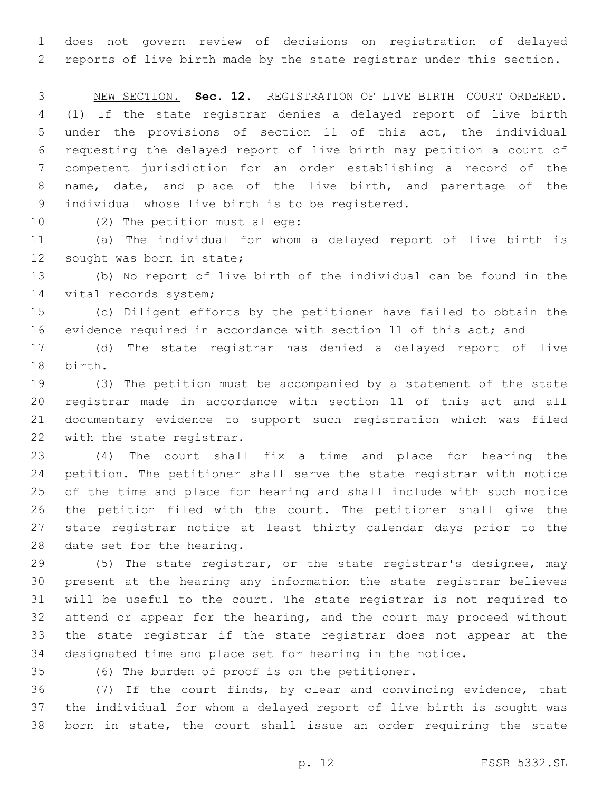does not govern review of decisions on registration of delayed reports of live birth made by the state registrar under this section.

 NEW SECTION. **Sec. 12.** REGISTRATION OF LIVE BIRTH—COURT ORDERED. (1) If the state registrar denies a delayed report of live birth under the provisions of section 11 of this act, the individual requesting the delayed report of live birth may petition a court of competent jurisdiction for an order establishing a record of the name, date, and place of the live birth, and parentage of the individual whose live birth is to be registered.

10 (2) The petition must allege:

 (a) The individual for whom a delayed report of live birth is 12 sought was born in state;

 (b) No report of live birth of the individual can be found in the 14 vital records system;

 (c) Diligent efforts by the petitioner have failed to obtain the evidence required in accordance with section 11 of this act; and

 (d) The state registrar has denied a delayed report of live 18 birth.

 (3) The petition must be accompanied by a statement of the state registrar made in accordance with section 11 of this act and all documentary evidence to support such registration which was filed 22 with the state registrar.

 (4) The court shall fix a time and place for hearing the petition. The petitioner shall serve the state registrar with notice of the time and place for hearing and shall include with such notice the petition filed with the court. The petitioner shall give the state registrar notice at least thirty calendar days prior to the 28 date set for the hearing.

 (5) The state registrar, or the state registrar's designee, may present at the hearing any information the state registrar believes will be useful to the court. The state registrar is not required to attend or appear for the hearing, and the court may proceed without the state registrar if the state registrar does not appear at the designated time and place set for hearing in the notice.

(6) The burden of proof is on the petitioner.35

 (7) If the court finds, by clear and convincing evidence, that the individual for whom a delayed report of live birth is sought was born in state, the court shall issue an order requiring the state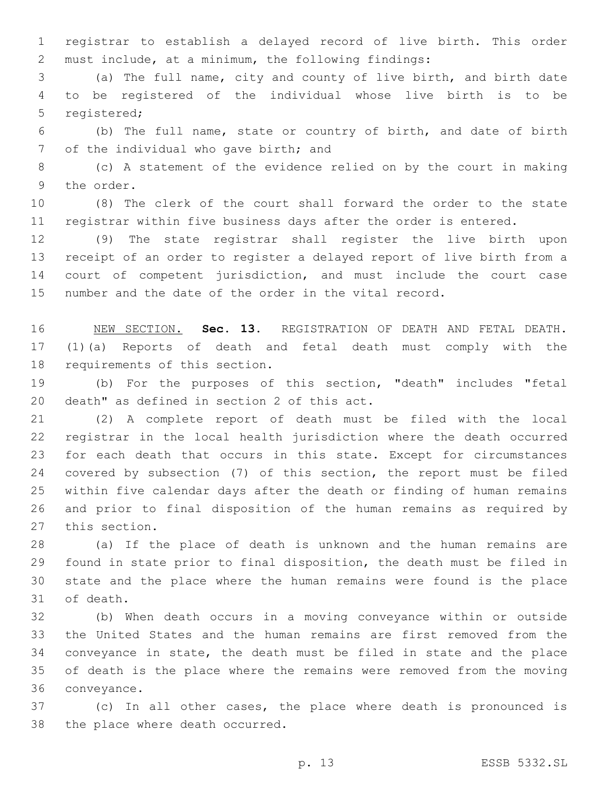registrar to establish a delayed record of live birth. This order must include, at a minimum, the following findings:

 (a) The full name, city and county of live birth, and birth date to be registered of the individual whose live birth is to be 5 registered;

 (b) The full name, state or country of birth, and date of birth 7 of the individual who gave birth; and

 (c) A statement of the evidence relied on by the court in making 9 the order.

 (8) The clerk of the court shall forward the order to the state registrar within five business days after the order is entered.

 (9) The state registrar shall register the live birth upon receipt of an order to register a delayed report of live birth from a court of competent jurisdiction, and must include the court case number and the date of the order in the vital record.

 NEW SECTION. **Sec. 13.** REGISTRATION OF DEATH AND FETAL DEATH. (1)(a) Reports of death and fetal death must comply with the requirements of this section.

 (b) For the purposes of this section, "death" includes "fetal 20 death" as defined in section 2 of this act.

 (2) A complete report of death must be filed with the local registrar in the local health jurisdiction where the death occurred for each death that occurs in this state. Except for circumstances covered by subsection (7) of this section, the report must be filed within five calendar days after the death or finding of human remains and prior to final disposition of the human remains as required by 27 this section.

 (a) If the place of death is unknown and the human remains are found in state prior to final disposition, the death must be filed in state and the place where the human remains were found is the place 31 of death.

 (b) When death occurs in a moving conveyance within or outside the United States and the human remains are first removed from the conveyance in state, the death must be filed in state and the place of death is the place where the remains were removed from the moving 36 conveyance.

 (c) In all other cases, the place where death is pronounced is 38 the place where death occurred.

p. 13 ESSB 5332.SL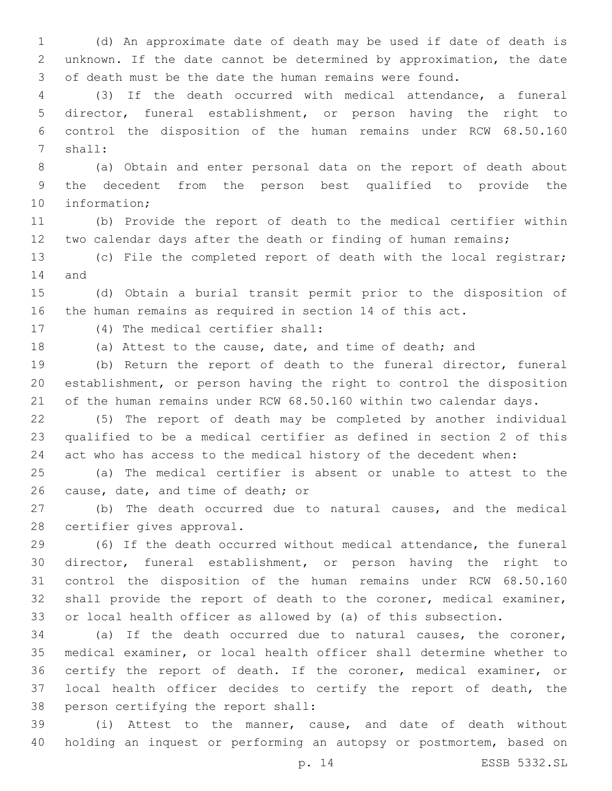(d) An approximate date of death may be used if date of death is unknown. If the date cannot be determined by approximation, the date of death must be the date the human remains were found.

 (3) If the death occurred with medical attendance, a funeral director, funeral establishment, or person having the right to control the disposition of the human remains under RCW 68.50.160 7 shall:

 (a) Obtain and enter personal data on the report of death about the decedent from the person best qualified to provide the 10 information;

 (b) Provide the report of death to the medical certifier within two calendar days after the death or finding of human remains;

 (c) File the completed report of death with the local registrar; 14 and

 (d) Obtain a burial transit permit prior to the disposition of the human remains as required in section 14 of this act.

17 (4) The medical certifier shall:

(a) Attest to the cause, date, and time of death; and

 (b) Return the report of death to the funeral director, funeral establishment, or person having the right to control the disposition of the human remains under RCW 68.50.160 within two calendar days.

 (5) The report of death may be completed by another individual qualified to be a medical certifier as defined in section 2 of this act who has access to the medical history of the decedent when:

 (a) The medical certifier is absent or unable to attest to the 26 cause, date, and time of death; or

 (b) The death occurred due to natural causes, and the medical 28 certifier gives approval.

 (6) If the death occurred without medical attendance, the funeral director, funeral establishment, or person having the right to control the disposition of the human remains under RCW 68.50.160 shall provide the report of death to the coroner, medical examiner, or local health officer as allowed by (a) of this subsection.

 (a) If the death occurred due to natural causes, the coroner, medical examiner, or local health officer shall determine whether to 36 certify the report of death. If the coroner, medical examiner, or local health officer decides to certify the report of death, the 38 person certifying the report shall:

 (i) Attest to the manner, cause, and date of death without holding an inquest or performing an autopsy or postmortem, based on

p. 14 ESSB 5332.SL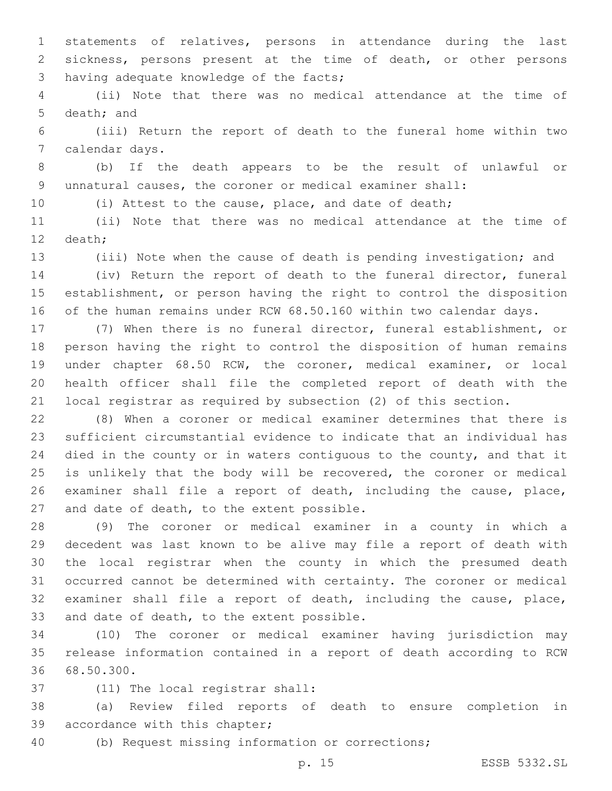statements of relatives, persons in attendance during the last sickness, persons present at the time of death, or other persons 3 having adequate knowledge of the facts;

 (ii) Note that there was no medical attendance at the time of 5 death; and

 (iii) Return the report of death to the funeral home within two 7 calendar days.

 (b) If the death appears to be the result of unlawful or unnatural causes, the coroner or medical examiner shall:

(i) Attest to the cause, place, and date of death;

 (ii) Note that there was no medical attendance at the time of 12 death;

(iii) Note when the cause of death is pending investigation; and

 (iv) Return the report of death to the funeral director, funeral establishment, or person having the right to control the disposition of the human remains under RCW 68.50.160 within two calendar days.

 (7) When there is no funeral director, funeral establishment, or person having the right to control the disposition of human remains under chapter 68.50 RCW, the coroner, medical examiner, or local health officer shall file the completed report of death with the local registrar as required by subsection (2) of this section.

 (8) When a coroner or medical examiner determines that there is sufficient circumstantial evidence to indicate that an individual has 24 died in the county or in waters contiguous to the county, and that it is unlikely that the body will be recovered, the coroner or medical examiner shall file a report of death, including the cause, place, 27 and date of death, to the extent possible.

 (9) The coroner or medical examiner in a county in which a decedent was last known to be alive may file a report of death with the local registrar when the county in which the presumed death occurred cannot be determined with certainty. The coroner or medical examiner shall file a report of death, including the cause, place, 33 and date of death, to the extent possible.

 (10) The coroner or medical examiner having jurisdiction may release information contained in a report of death according to RCW 36 68.50.300.

37 (11) The local registrar shall:

 (a) Review filed reports of death to ensure completion in 39 accordance with this chapter;

(b) Request missing information or corrections;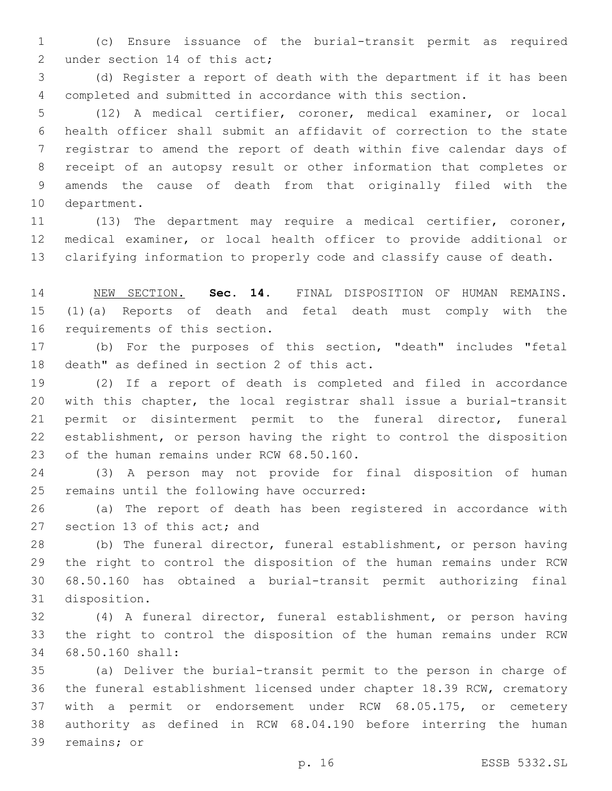(c) Ensure issuance of the burial-transit permit as required 2 under section 14 of this act;

 (d) Register a report of death with the department if it has been completed and submitted in accordance with this section.

 (12) A medical certifier, coroner, medical examiner, or local health officer shall submit an affidavit of correction to the state registrar to amend the report of death within five calendar days of receipt of an autopsy result or other information that completes or amends the cause of death from that originally filed with the 10 department.

 (13) The department may require a medical certifier, coroner, medical examiner, or local health officer to provide additional or clarifying information to properly code and classify cause of death.

 NEW SECTION. **Sec. 14.** FINAL DISPOSITION OF HUMAN REMAINS. (1)(a) Reports of death and fetal death must comply with the requirements of this section.

 (b) For the purposes of this section, "death" includes "fetal 18 death" as defined in section 2 of this act.

 (2) If a report of death is completed and filed in accordance with this chapter, the local registrar shall issue a burial-transit permit or disinterment permit to the funeral director, funeral establishment, or person having the right to control the disposition 23 of the human remains under RCW 68.50.160.

 (3) A person may not provide for final disposition of human 25 remains until the following have occurred:

 (a) The report of death has been registered in accordance with 27 section 13 of this act; and

 (b) The funeral director, funeral establishment, or person having the right to control the disposition of the human remains under RCW 68.50.160 has obtained a burial-transit permit authorizing final 31 disposition.

 (4) A funeral director, funeral establishment, or person having the right to control the disposition of the human remains under RCW 68.50.160 shall:34

 (a) Deliver the burial-transit permit to the person in charge of the funeral establishment licensed under chapter 18.39 RCW, crematory with a permit or endorsement under RCW 68.05.175, or cemetery authority as defined in RCW 68.04.190 before interring the human 39 remains; or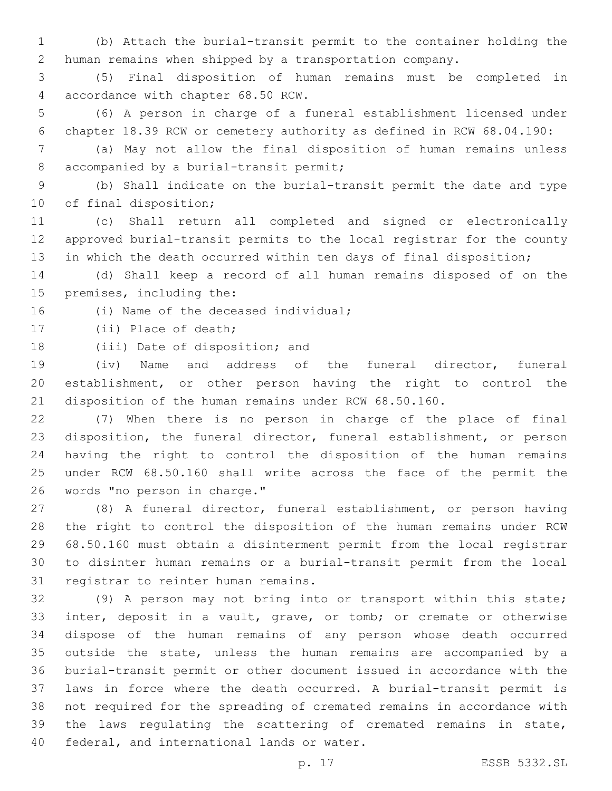(b) Attach the burial-transit permit to the container holding the human remains when shipped by a transportation company.

 (5) Final disposition of human remains must be completed in 4 accordance with chapter 68.50 RCW.

 (6) A person in charge of a funeral establishment licensed under chapter 18.39 RCW or cemetery authority as defined in RCW 68.04.190:

 (a) May not allow the final disposition of human remains unless 8 accompanied by a burial-transit permit;

 (b) Shall indicate on the burial-transit permit the date and type 10 of final disposition;

 (c) Shall return all completed and signed or electronically approved burial-transit permits to the local registrar for the county in which the death occurred within ten days of final disposition;

 (d) Shall keep a record of all human remains disposed of on the 15 premises, including the:

16 (i) Name of the deceased individual;

17 (ii) Place of death;

18 (iii) Date of disposition; and

 (iv) Name and address of the funeral director, funeral establishment, or other person having the right to control the disposition of the human remains under RCW 68.50.160.

 (7) When there is no person in charge of the place of final disposition, the funeral director, funeral establishment, or person having the right to control the disposition of the human remains under RCW 68.50.160 shall write across the face of the permit the 26 words "no person in charge."

 (8) A funeral director, funeral establishment, or person having the right to control the disposition of the human remains under RCW 68.50.160 must obtain a disinterment permit from the local registrar to disinter human remains or a burial-transit permit from the local 31 registrar to reinter human remains.

 (9) A person may not bring into or transport within this state; inter, deposit in a vault, grave, or tomb; or cremate or otherwise dispose of the human remains of any person whose death occurred outside the state, unless the human remains are accompanied by a burial-transit permit or other document issued in accordance with the laws in force where the death occurred. A burial-transit permit is not required for the spreading of cremated remains in accordance with the laws regulating the scattering of cremated remains in state, 40 federal, and international lands or water.

p. 17 ESSB 5332.SL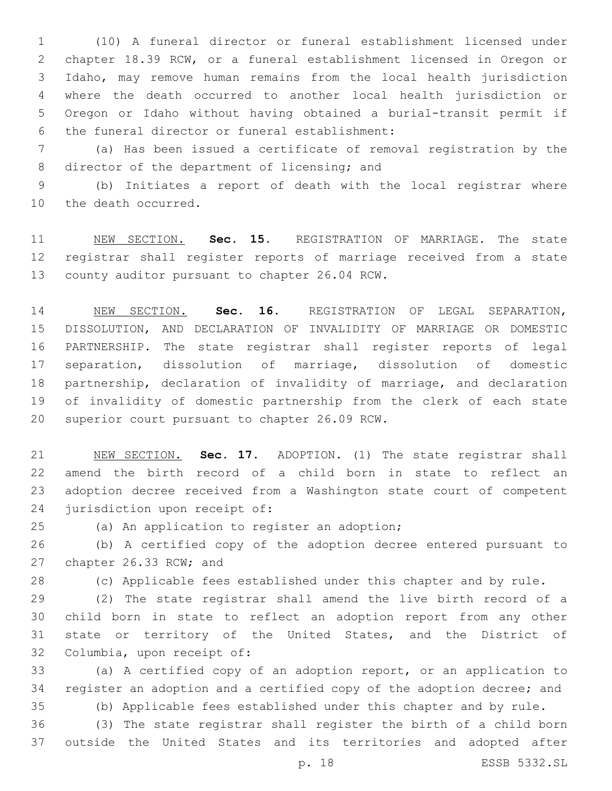(10) A funeral director or funeral establishment licensed under chapter 18.39 RCW, or a funeral establishment licensed in Oregon or Idaho, may remove human remains from the local health jurisdiction where the death occurred to another local health jurisdiction or Oregon or Idaho without having obtained a burial-transit permit if 6 the funeral director or funeral establishment:

 (a) Has been issued a certificate of removal registration by the 8 director of the department of licensing; and

 (b) Initiates a report of death with the local registrar where 10 the death occurred.

 NEW SECTION. **Sec. 15.** REGISTRATION OF MARRIAGE. The state registrar shall register reports of marriage received from a state county auditor pursuant to chapter 26.04 RCW.

 NEW SECTION. **Sec. 16.** REGISTRATION OF LEGAL SEPARATION, DISSOLUTION, AND DECLARATION OF INVALIDITY OF MARRIAGE OR DOMESTIC PARTNERSHIP. The state registrar shall register reports of legal separation, dissolution of marriage, dissolution of domestic partnership, declaration of invalidity of marriage, and declaration of invalidity of domestic partnership from the clerk of each state superior court pursuant to chapter 26.09 RCW.

 NEW SECTION. **Sec. 17.** ADOPTION. (1) The state registrar shall amend the birth record of a child born in state to reflect an adoption decree received from a Washington state court of competent jurisdiction upon receipt of:

25 (a) An application to register an adoption;

 (b) A certified copy of the adoption decree entered pursuant to 27 chapter 26.33 RCW; and

(c) Applicable fees established under this chapter and by rule.

 (2) The state registrar shall amend the live birth record of a child born in state to reflect an adoption report from any other state or territory of the United States, and the District of 32 Columbia, upon receipt of:

 (a) A certified copy of an adoption report, or an application to register an adoption and a certified copy of the adoption decree; and

(b) Applicable fees established under this chapter and by rule.

 (3) The state registrar shall register the birth of a child born outside the United States and its territories and adopted after

p. 18 ESSB 5332.SL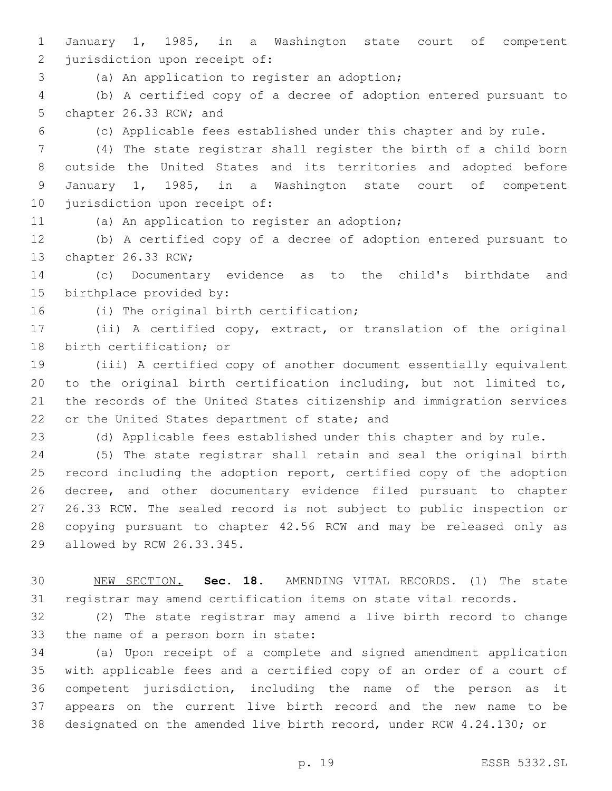January 1, 1985, in a Washington state court of competent 2 jurisdiction upon receipt of:

3 (a) An application to register an adoption;

 (b) A certified copy of a decree of adoption entered pursuant to 5 chapter 26.33 RCW; and

(c) Applicable fees established under this chapter and by rule.

 (4) The state registrar shall register the birth of a child born outside the United States and its territories and adopted before January 1, 1985, in a Washington state court of competent 10 jurisdiction upon receipt of:

11 (a) An application to register an adoption;

 (b) A certified copy of a decree of adoption entered pursuant to 13 chapter 26.33 RCW;

 (c) Documentary evidence as to the child's birthdate and 15 birthplace provided by:

16 (i) The original birth certification;

 (ii) A certified copy, extract, or translation of the original 18 birth certification; or

 (iii) A certified copy of another document essentially equivalent to the original birth certification including, but not limited to, the records of the United States citizenship and immigration services 22 or the United States department of state; and

(d) Applicable fees established under this chapter and by rule.

 (5) The state registrar shall retain and seal the original birth 25 record including the adoption report, certified copy of the adoption decree, and other documentary evidence filed pursuant to chapter 26.33 RCW. The sealed record is not subject to public inspection or copying pursuant to chapter 42.56 RCW and may be released only as 29 allowed by RCW 26.33.345.

 NEW SECTION. **Sec. 18.** AMENDING VITAL RECORDS. (1) The state registrar may amend certification items on state vital records.

 (2) The state registrar may amend a live birth record to change 33 the name of a person born in state:

 (a) Upon receipt of a complete and signed amendment application with applicable fees and a certified copy of an order of a court of competent jurisdiction, including the name of the person as it appears on the current live birth record and the new name to be designated on the amended live birth record, under RCW 4.24.130; or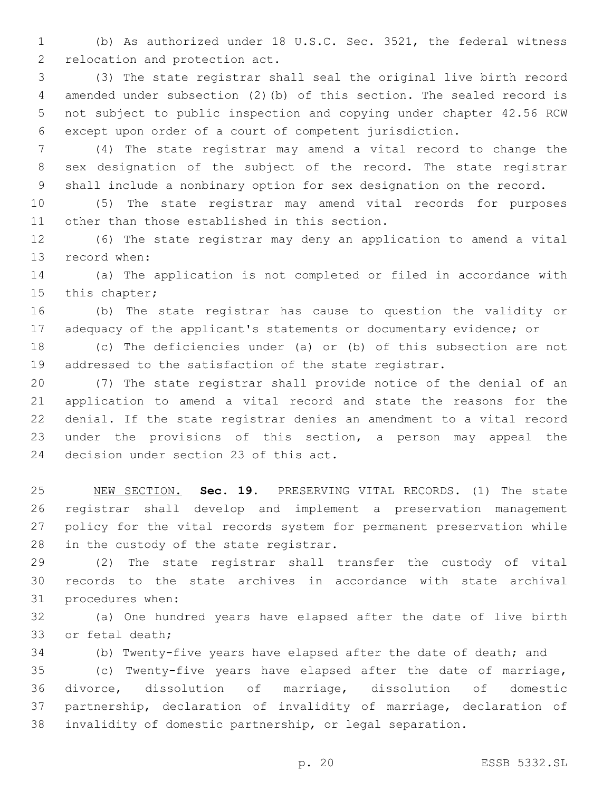(b) As authorized under 18 U.S.C. Sec. 3521, the federal witness 2 relocation and protection act.

 (3) The state registrar shall seal the original live birth record amended under subsection (2)(b) of this section. The sealed record is not subject to public inspection and copying under chapter 42.56 RCW except upon order of a court of competent jurisdiction.

 (4) The state registrar may amend a vital record to change the sex designation of the subject of the record. The state registrar shall include a nonbinary option for sex designation on the record.

 (5) The state registrar may amend vital records for purposes 11 other than those established in this section.

 (6) The state registrar may deny an application to amend a vital 13 record when:

 (a) The application is not completed or filed in accordance with 15 this chapter;

 (b) The state registrar has cause to question the validity or 17 adequacy of the applicant's statements or documentary evidence; or

 (c) The deficiencies under (a) or (b) of this subsection are not addressed to the satisfaction of the state registrar.

 (7) The state registrar shall provide notice of the denial of an application to amend a vital record and state the reasons for the denial. If the state registrar denies an amendment to a vital record under the provisions of this section, a person may appeal the 24 decision under section 23 of this act.

 NEW SECTION. **Sec. 19.** PRESERVING VITAL RECORDS. (1) The state registrar shall develop and implement a preservation management policy for the vital records system for permanent preservation while in the custody of the state registrar.

 (2) The state registrar shall transfer the custody of vital records to the state archives in accordance with state archival 31 procedures when:

 (a) One hundred years have elapsed after the date of live birth 33 or fetal death;

(b) Twenty-five years have elapsed after the date of death; and

 (c) Twenty-five years have elapsed after the date of marriage, divorce, dissolution of marriage, dissolution of domestic partnership, declaration of invalidity of marriage, declaration of invalidity of domestic partnership, or legal separation.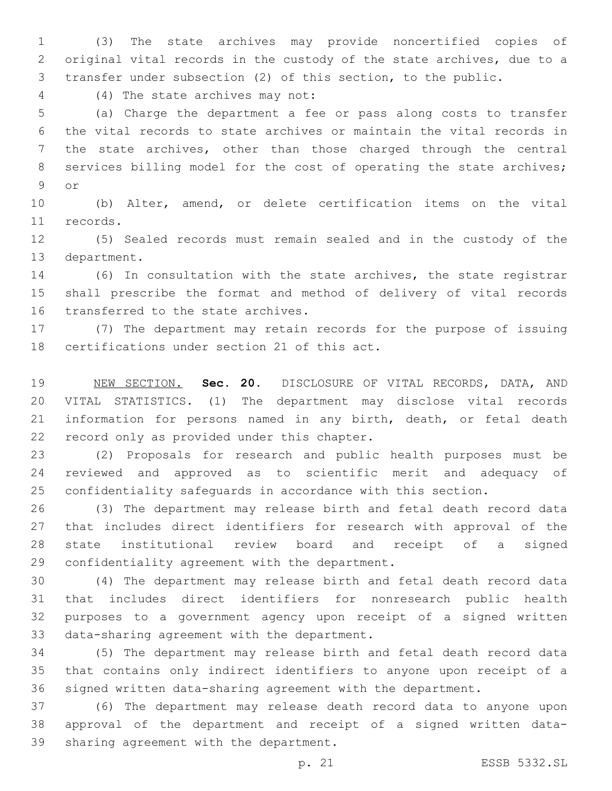(3) The state archives may provide noncertified copies of original vital records in the custody of the state archives, due to a transfer under subsection (2) of this section, to the public.

(4) The state archives may not:4

 (a) Charge the department a fee or pass along costs to transfer the vital records to state archives or maintain the vital records in the state archives, other than those charged through the central 8 services billing model for the cost of operating the state archives; 9 or

 (b) Alter, amend, or delete certification items on the vital 11 records.

 (5) Sealed records must remain sealed and in the custody of the 13 department.

 (6) In consultation with the state archives, the state registrar shall prescribe the format and method of delivery of vital records 16 transferred to the state archives.

 (7) The department may retain records for the purpose of issuing 18 certifications under section 21 of this act.

 NEW SECTION. **Sec. 20.** DISCLOSURE OF VITAL RECORDS, DATA, AND VITAL STATISTICS. (1) The department may disclose vital records information for persons named in any birth, death, or fetal death record only as provided under this chapter.

 (2) Proposals for research and public health purposes must be reviewed and approved as to scientific merit and adequacy of confidentiality safeguards in accordance with this section.

 (3) The department may release birth and fetal death record data that includes direct identifiers for research with approval of the state institutional review board and receipt of a signed 29 confidentiality agreement with the department.

 (4) The department may release birth and fetal death record data that includes direct identifiers for nonresearch public health purposes to a government agency upon receipt of a signed written 33 data-sharing agreement with the department.

 (5) The department may release birth and fetal death record data that contains only indirect identifiers to anyone upon receipt of a signed written data-sharing agreement with the department.

 (6) The department may release death record data to anyone upon approval of the department and receipt of a signed written data-39 sharing agreement with the department.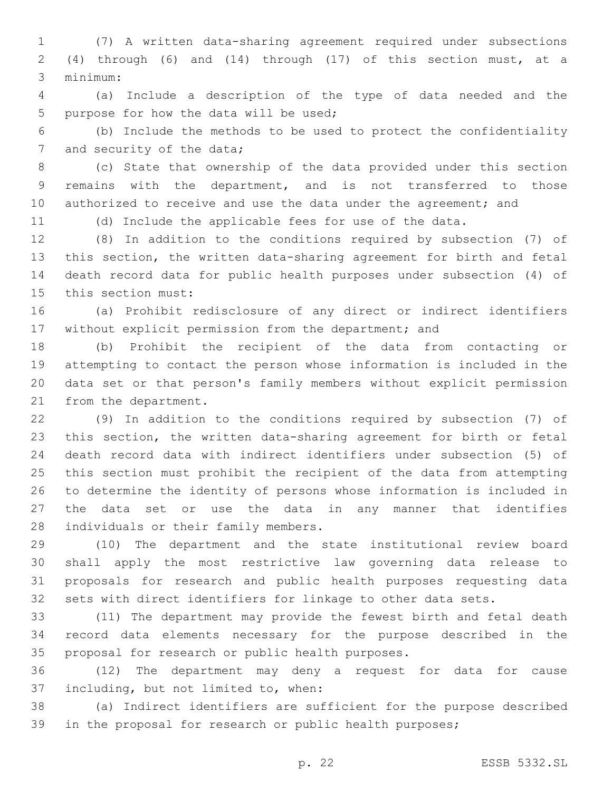(7) A written data-sharing agreement required under subsections (4) through (6) and (14) through (17) of this section must, at a minimum:3

 (a) Include a description of the type of data needed and the 5 purpose for how the data will be used;

 (b) Include the methods to be used to protect the confidentiality 7 and security of the data;

 (c) State that ownership of the data provided under this section remains with the department, and is not transferred to those 10 authorized to receive and use the data under the agreement; and

(d) Include the applicable fees for use of the data.

 (8) In addition to the conditions required by subsection (7) of this section, the written data-sharing agreement for birth and fetal death record data for public health purposes under subsection (4) of 15 this section must:

 (a) Prohibit redisclosure of any direct or indirect identifiers without explicit permission from the department; and

 (b) Prohibit the recipient of the data from contacting or attempting to contact the person whose information is included in the data set or that person's family members without explicit permission 21 from the department.

 (9) In addition to the conditions required by subsection (7) of this section, the written data-sharing agreement for birth or fetal death record data with indirect identifiers under subsection (5) of this section must prohibit the recipient of the data from attempting to determine the identity of persons whose information is included in the data set or use the data in any manner that identifies 28 individuals or their family members.

 (10) The department and the state institutional review board shall apply the most restrictive law governing data release to proposals for research and public health purposes requesting data sets with direct identifiers for linkage to other data sets.

 (11) The department may provide the fewest birth and fetal death record data elements necessary for the purpose described in the 35 proposal for research or public health purposes.

 (12) The department may deny a request for data for cause 37 including, but not limited to, when:

 (a) Indirect identifiers are sufficient for the purpose described in the proposal for research or public health purposes;

p. 22 ESSB 5332.SL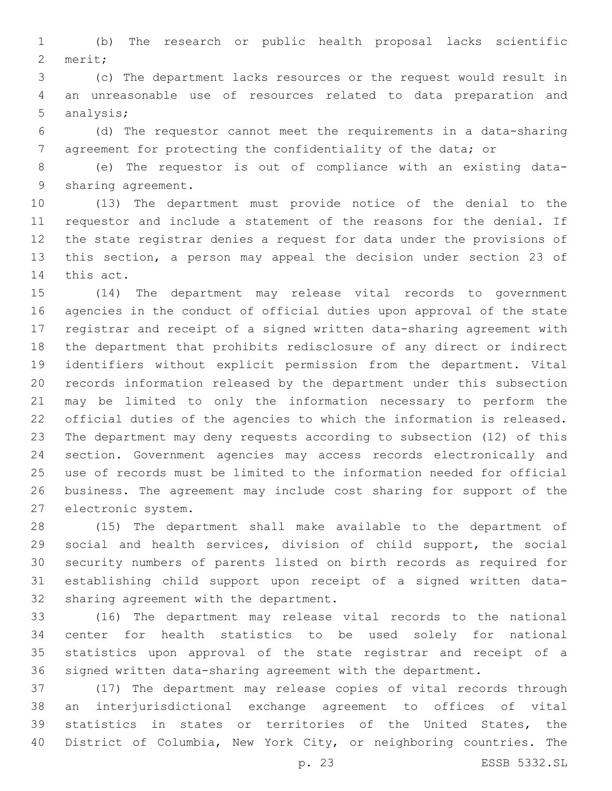(b) The research or public health proposal lacks scientific 2 merit;

 (c) The department lacks resources or the request would result in an unreasonable use of resources related to data preparation and 5 analysis;

 (d) The requestor cannot meet the requirements in a data-sharing agreement for protecting the confidentiality of the data; or

 (e) The requestor is out of compliance with an existing data-9 sharing agreement.

 (13) The department must provide notice of the denial to the requestor and include a statement of the reasons for the denial. If the state registrar denies a request for data under the provisions of this section, a person may appeal the decision under section 23 of 14 this act.

 (14) The department may release vital records to government agencies in the conduct of official duties upon approval of the state registrar and receipt of a signed written data-sharing agreement with the department that prohibits redisclosure of any direct or indirect identifiers without explicit permission from the department. Vital records information released by the department under this subsection may be limited to only the information necessary to perform the official duties of the agencies to which the information is released. The department may deny requests according to subsection (12) of this section. Government agencies may access records electronically and use of records must be limited to the information needed for official business. The agreement may include cost sharing for support of the 27 electronic system.

 (15) The department shall make available to the department of social and health services, division of child support, the social security numbers of parents listed on birth records as required for establishing child support upon receipt of a signed written data-32 sharing agreement with the department.

 (16) The department may release vital records to the national center for health statistics to be used solely for national statistics upon approval of the state registrar and receipt of a signed written data-sharing agreement with the department.

 (17) The department may release copies of vital records through an interjurisdictional exchange agreement to offices of vital statistics in states or territories of the United States, the District of Columbia, New York City, or neighboring countries. The

p. 23 ESSB 5332.SL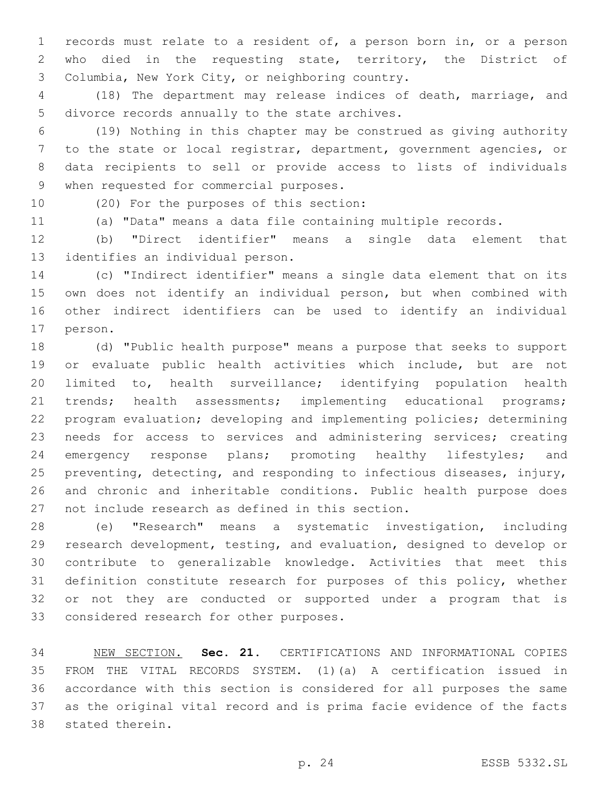records must relate to a resident of, a person born in, or a person who died in the requesting state, territory, the District of Columbia, New York City, or neighboring country.3

 (18) The department may release indices of death, marriage, and 5 divorce records annually to the state archives.

 (19) Nothing in this chapter may be construed as giving authority to the state or local registrar, department, government agencies, or data recipients to sell or provide access to lists of individuals 9 when requested for commercial purposes.

10 (20) For the purposes of this section:

(a) "Data" means a data file containing multiple records.

 (b) "Direct identifier" means a single data element that 13 identifies an individual person.

 (c) "Indirect identifier" means a single data element that on its own does not identify an individual person, but when combined with other indirect identifiers can be used to identify an individual 17 person.

 (d) "Public health purpose" means a purpose that seeks to support or evaluate public health activities which include, but are not limited to, health surveillance; identifying population health 21 trends; health assessments; implementing educational programs; program evaluation; developing and implementing policies; determining needs for access to services and administering services; creating emergency response plans; promoting healthy lifestyles; and preventing, detecting, and responding to infectious diseases, injury, and chronic and inheritable conditions. Public health purpose does 27 not include research as defined in this section.

 (e) "Research" means a systematic investigation, including research development, testing, and evaluation, designed to develop or contribute to generalizable knowledge. Activities that meet this definition constitute research for purposes of this policy, whether or not they are conducted or supported under a program that is 33 considered research for other purposes.

 NEW SECTION. **Sec. 21.** CERTIFICATIONS AND INFORMATIONAL COPIES FROM THE VITAL RECORDS SYSTEM. (1)(a) A certification issued in accordance with this section is considered for all purposes the same as the original vital record and is prima facie evidence of the facts stated therein.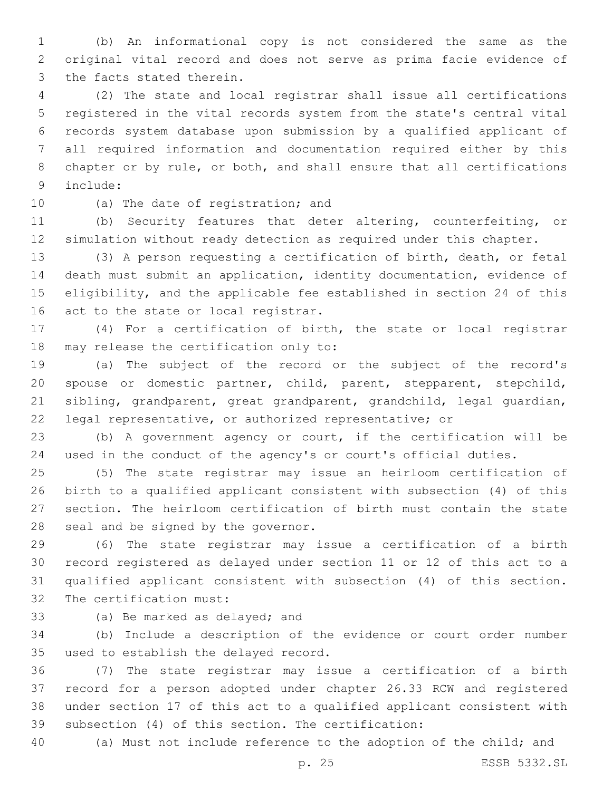(b) An informational copy is not considered the same as the original vital record and does not serve as prima facie evidence of 3 the facts stated therein.

 (2) The state and local registrar shall issue all certifications registered in the vital records system from the state's central vital records system database upon submission by a qualified applicant of all required information and documentation required either by this chapter or by rule, or both, and shall ensure that all certifications include:9

10 (a) The date of registration; and

 (b) Security features that deter altering, counterfeiting, or simulation without ready detection as required under this chapter.

 (3) A person requesting a certification of birth, death, or fetal death must submit an application, identity documentation, evidence of eligibility, and the applicable fee established in section 24 of this 16 act to the state or local registrar.

 (4) For a certification of birth, the state or local registrar 18 may release the certification only to:

 (a) The subject of the record or the subject of the record's spouse or domestic partner, child, parent, stepparent, stepchild, sibling, grandparent, great grandparent, grandchild, legal guardian, legal representative, or authorized representative; or

 (b) A government agency or court, if the certification will be used in the conduct of the agency's or court's official duties.

 (5) The state registrar may issue an heirloom certification of birth to a qualified applicant consistent with subsection (4) of this section. The heirloom certification of birth must contain the state 28 seal and be signed by the governor.

 (6) The state registrar may issue a certification of a birth record registered as delayed under section 11 or 12 of this act to a qualified applicant consistent with subsection (4) of this section. 32 The certification must:

33 (a) Be marked as delayed; and

 (b) Include a description of the evidence or court order number 35 used to establish the delayed record.

 (7) The state registrar may issue a certification of a birth record for a person adopted under chapter 26.33 RCW and registered under section 17 of this act to a qualified applicant consistent with subsection (4) of this section. The certification:

(a) Must not include reference to the adoption of the child; and

p. 25 ESSB 5332.SL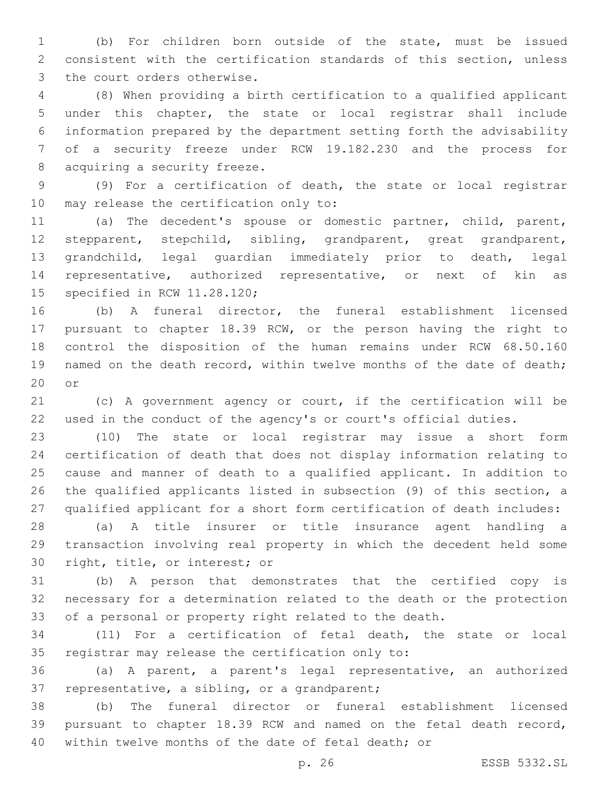(b) For children born outside of the state, must be issued consistent with the certification standards of this section, unless 3 the court orders otherwise.

 (8) When providing a birth certification to a qualified applicant under this chapter, the state or local registrar shall include information prepared by the department setting forth the advisability of a security freeze under RCW 19.182.230 and the process for 8 acquiring a security freeze.

 (9) For a certification of death, the state or local registrar 10 may release the certification only to:

 (a) The decedent's spouse or domestic partner, child, parent, stepparent, stepchild, sibling, grandparent, great grandparent, grandchild, legal guardian immediately prior to death, legal representative, authorized representative, or next of kin as 15 specified in RCW 11.28.120;

 (b) A funeral director, the funeral establishment licensed pursuant to chapter 18.39 RCW, or the person having the right to control the disposition of the human remains under RCW 68.50.160 19 named on the death record, within twelve months of the date of death; or

 (c) A government agency or court, if the certification will be used in the conduct of the agency's or court's official duties.

 (10) The state or local registrar may issue a short form certification of death that does not display information relating to cause and manner of death to a qualified applicant. In addition to the qualified applicants listed in subsection (9) of this section, a qualified applicant for a short form certification of death includes:

 (a) A title insurer or title insurance agent handling a transaction involving real property in which the decedent held some 30 right, title, or interest; or

 (b) A person that demonstrates that the certified copy is necessary for a determination related to the death or the protection of a personal or property right related to the death.

 (11) For a certification of fetal death, the state or local 35 registrar may release the certification only to:

 (a) A parent, a parent's legal representative, an authorized 37 representative, a sibling, or a grandparent;

 (b) The funeral director or funeral establishment licensed pursuant to chapter 18.39 RCW and named on the fetal death record, within twelve months of the date of fetal death; or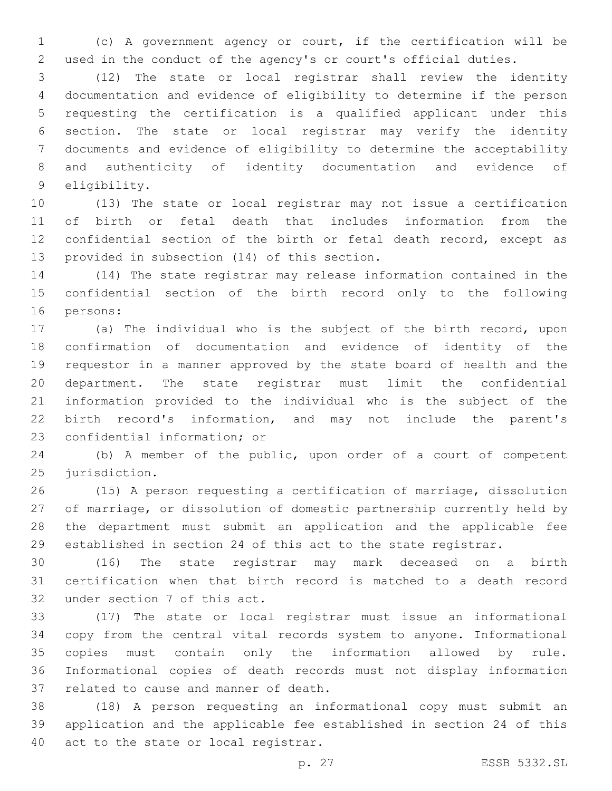(c) A government agency or court, if the certification will be used in the conduct of the agency's or court's official duties.

 (12) The state or local registrar shall review the identity documentation and evidence of eligibility to determine if the person requesting the certification is a qualified applicant under this section. The state or local registrar may verify the identity documents and evidence of eligibility to determine the acceptability and authenticity of identity documentation and evidence of 9 eligibility.

 (13) The state or local registrar may not issue a certification of birth or fetal death that includes information from the 12 confidential section of the birth or fetal death record, except as 13 provided in subsection (14) of this section.

 (14) The state registrar may release information contained in the confidential section of the birth record only to the following 16 persons:

 (a) The individual who is the subject of the birth record, upon confirmation of documentation and evidence of identity of the requestor in a manner approved by the state board of health and the department. The state registrar must limit the confidential information provided to the individual who is the subject of the birth record's information, and may not include the parent's 23 confidential information; or

 (b) A member of the public, upon order of a court of competent 25 jurisdiction.

 (15) A person requesting a certification of marriage, dissolution of marriage, or dissolution of domestic partnership currently held by the department must submit an application and the applicable fee established in section 24 of this act to the state registrar.

 (16) The state registrar may mark deceased on a birth certification when that birth record is matched to a death record 32 under section 7 of this act.

 (17) The state or local registrar must issue an informational copy from the central vital records system to anyone. Informational copies must contain only the information allowed by rule. Informational copies of death records must not display information 37 related to cause and manner of death.

 (18) A person requesting an informational copy must submit an application and the applicable fee established in section 24 of this 40 act to the state or local registrar.

p. 27 ESSB 5332.SL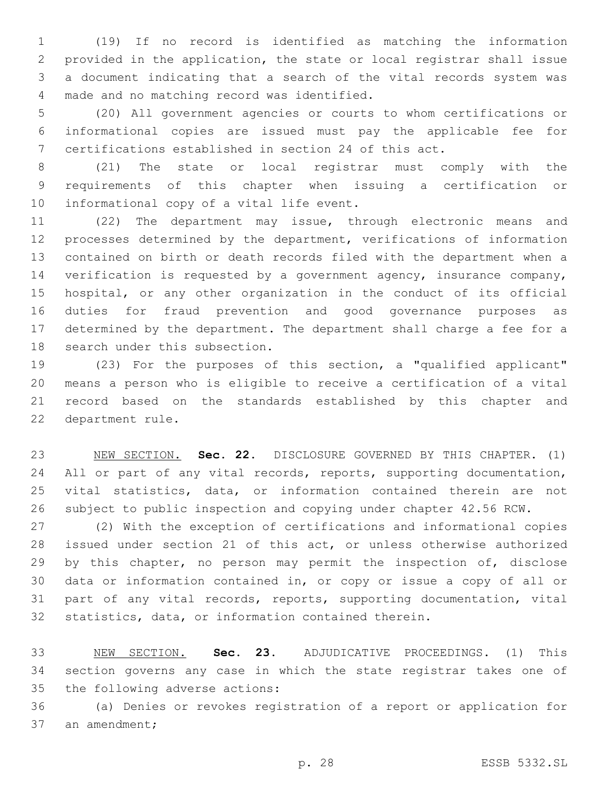(19) If no record is identified as matching the information provided in the application, the state or local registrar shall issue a document indicating that a search of the vital records system was 4 made and no matching record was identified.

 (20) All government agencies or courts to whom certifications or informational copies are issued must pay the applicable fee for certifications established in section 24 of this act.

 (21) The state or local registrar must comply with the requirements of this chapter when issuing a certification or 10 informational copy of a vital life event.

 (22) The department may issue, through electronic means and processes determined by the department, verifications of information contained on birth or death records filed with the department when a verification is requested by a government agency, insurance company, hospital, or any other organization in the conduct of its official duties for fraud prevention and good governance purposes as determined by the department. The department shall charge a fee for a 18 search under this subsection.

 (23) For the purposes of this section, a "qualified applicant" means a person who is eligible to receive a certification of a vital record based on the standards established by this chapter and 22 department rule.

 NEW SECTION. **Sec. 22.** DISCLOSURE GOVERNED BY THIS CHAPTER. (1) 24 All or part of any vital records, reports, supporting documentation, vital statistics, data, or information contained therein are not subject to public inspection and copying under chapter 42.56 RCW.

 (2) With the exception of certifications and informational copies issued under section 21 of this act, or unless otherwise authorized 29 by this chapter, no person may permit the inspection of, disclose data or information contained in, or copy or issue a copy of all or part of any vital records, reports, supporting documentation, vital statistics, data, or information contained therein.

 NEW SECTION. **Sec. 23.** ADJUDICATIVE PROCEEDINGS. (1) This section governs any case in which the state registrar takes one of the following adverse actions:

 (a) Denies or revokes registration of a report or application for 37 an amendment;

p. 28 ESSB 5332.SL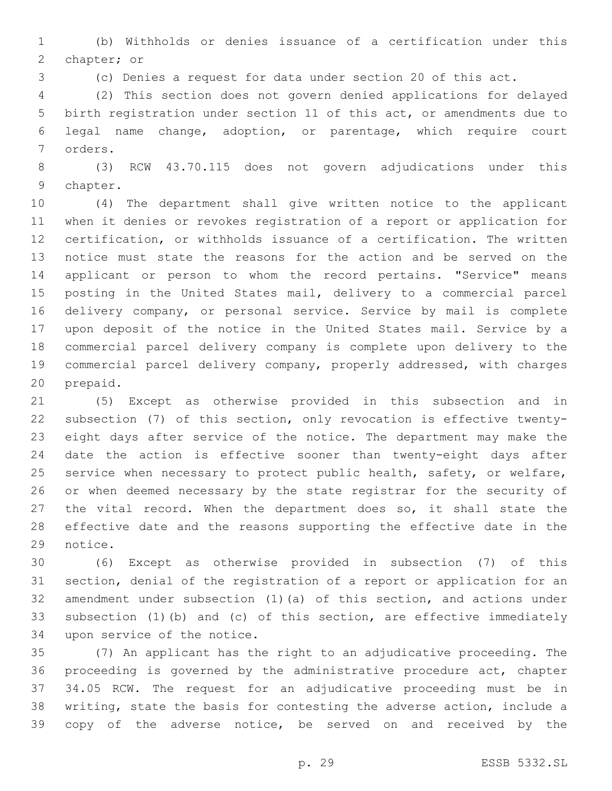(b) Withholds or denies issuance of a certification under this 2 chapter; or

(c) Denies a request for data under section 20 of this act.

 (2) This section does not govern denied applications for delayed birth registration under section 11 of this act, or amendments due to legal name change, adoption, or parentage, which require court 7 orders.

 (3) RCW 43.70.115 does not govern adjudications under this 9 chapter.

 (4) The department shall give written notice to the applicant when it denies or revokes registration of a report or application for certification, or withholds issuance of a certification. The written notice must state the reasons for the action and be served on the applicant or person to whom the record pertains. "Service" means posting in the United States mail, delivery to a commercial parcel delivery company, or personal service. Service by mail is complete upon deposit of the notice in the United States mail. Service by a commercial parcel delivery company is complete upon delivery to the commercial parcel delivery company, properly addressed, with charges 20 prepaid.

 (5) Except as otherwise provided in this subsection and in subsection (7) of this section, only revocation is effective twenty- eight days after service of the notice. The department may make the date the action is effective sooner than twenty-eight days after service when necessary to protect public health, safety, or welfare, or when deemed necessary by the state registrar for the security of 27 the vital record. When the department does so, it shall state the effective date and the reasons supporting the effective date in the 29 notice.

 (6) Except as otherwise provided in subsection (7) of this section, denial of the registration of a report or application for an amendment under subsection (1)(a) of this section, and actions under subsection (1)(b) and (c) of this section, are effective immediately 34 upon service of the notice.

 (7) An applicant has the right to an adjudicative proceeding. The proceeding is governed by the administrative procedure act, chapter 34.05 RCW. The request for an adjudicative proceeding must be in writing, state the basis for contesting the adverse action, include a copy of the adverse notice, be served on and received by the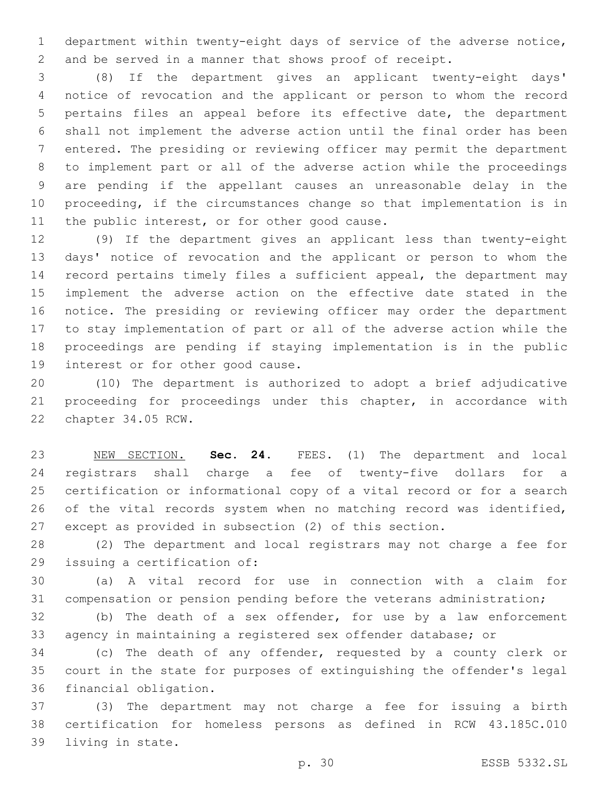department within twenty-eight days of service of the adverse notice, and be served in a manner that shows proof of receipt.

 (8) If the department gives an applicant twenty-eight days' notice of revocation and the applicant or person to whom the record pertains files an appeal before its effective date, the department shall not implement the adverse action until the final order has been entered. The presiding or reviewing officer may permit the department to implement part or all of the adverse action while the proceedings are pending if the appellant causes an unreasonable delay in the proceeding, if the circumstances change so that implementation is in 11 the public interest, or for other good cause.

 (9) If the department gives an applicant less than twenty-eight days' notice of revocation and the applicant or person to whom the record pertains timely files a sufficient appeal, the department may implement the adverse action on the effective date stated in the notice. The presiding or reviewing officer may order the department to stay implementation of part or all of the adverse action while the proceedings are pending if staying implementation is in the public 19 interest or for other good cause.

 (10) The department is authorized to adopt a brief adjudicative proceeding for proceedings under this chapter, in accordance with 22 chapter 34.05 RCW.

 NEW SECTION. **Sec. 24.** FEES. (1) The department and local registrars shall charge a fee of twenty-five dollars for a certification or informational copy of a vital record or for a search of the vital records system when no matching record was identified, except as provided in subsection (2) of this section.

 (2) The department and local registrars may not charge a fee for 29 issuing a certification of:

 (a) A vital record for use in connection with a claim for compensation or pension pending before the veterans administration;

 (b) The death of a sex offender, for use by a law enforcement agency in maintaining a registered sex offender database; or

 (c) The death of any offender, requested by a county clerk or court in the state for purposes of extinguishing the offender's legal 36 financial obligation.

 (3) The department may not charge a fee for issuing a birth certification for homeless persons as defined in RCW 43.185C.010 39 living in state.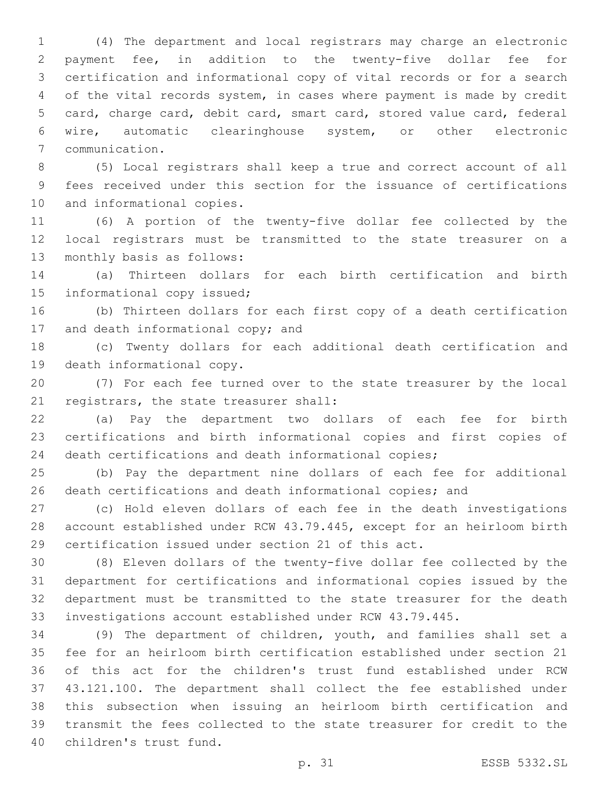(4) The department and local registrars may charge an electronic payment fee, in addition to the twenty-five dollar fee for certification and informational copy of vital records or for a search of the vital records system, in cases where payment is made by credit card, charge card, debit card, smart card, stored value card, federal wire, automatic clearinghouse system, or other electronic communication.7

 (5) Local registrars shall keep a true and correct account of all fees received under this section for the issuance of certifications 10 and informational copies.

 (6) A portion of the twenty-five dollar fee collected by the local registrars must be transmitted to the state treasurer on a 13 monthly basis as follows:

 (a) Thirteen dollars for each birth certification and birth 15 informational copy issued;

 (b) Thirteen dollars for each first copy of a death certification 17 and death informational copy; and

 (c) Twenty dollars for each additional death certification and 19 death informational copy.

 (7) For each fee turned over to the state treasurer by the local 21 registrars, the state treasurer shall:

 (a) Pay the department two dollars of each fee for birth certifications and birth informational copies and first copies of death certifications and death informational copies;

 (b) Pay the department nine dollars of each fee for additional death certifications and death informational copies; and

 (c) Hold eleven dollars of each fee in the death investigations account established under RCW 43.79.445, except for an heirloom birth certification issued under section 21 of this act.

 (8) Eleven dollars of the twenty-five dollar fee collected by the department for certifications and informational copies issued by the department must be transmitted to the state treasurer for the death investigations account established under RCW 43.79.445.

 (9) The department of children, youth, and families shall set a fee for an heirloom birth certification established under section 21 of this act for the children's trust fund established under RCW 43.121.100. The department shall collect the fee established under this subsection when issuing an heirloom birth certification and transmit the fees collected to the state treasurer for credit to the 40 children's trust fund.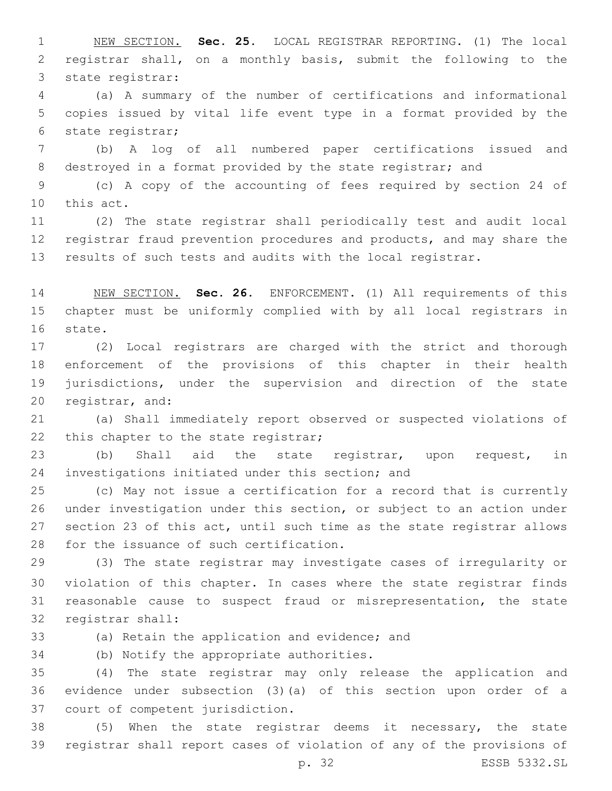NEW SECTION. **Sec. 25.** LOCAL REGISTRAR REPORTING. (1) The local registrar shall, on a monthly basis, submit the following to the state registrar:

 (a) A summary of the number of certifications and informational copies issued by vital life event type in a format provided by the 6 state registrar;

 (b) A log of all numbered paper certifications issued and destroyed in a format provided by the state registrar; and

 (c) A copy of the accounting of fees required by section 24 of 10 this act.

 (2) The state registrar shall periodically test and audit local registrar fraud prevention procedures and products, and may share the 13 results of such tests and audits with the local registrar.

 NEW SECTION. **Sec. 26.** ENFORCEMENT. (1) All requirements of this chapter must be uniformly complied with by all local registrars in state.

 (2) Local registrars are charged with the strict and thorough enforcement of the provisions of this chapter in their health jurisdictions, under the supervision and direction of the state 20 registrar, and:

 (a) Shall immediately report observed or suspected violations of 22 this chapter to the state registrar;

 (b) Shall aid the state registrar, upon request, in 24 investigations initiated under this section; and

 (c) May not issue a certification for a record that is currently under investigation under this section, or subject to an action under section 23 of this act, until such time as the state registrar allows 28 for the issuance of such certification.

 (3) The state registrar may investigate cases of irregularity or violation of this chapter. In cases where the state registrar finds reasonable cause to suspect fraud or misrepresentation, the state 32 registrar shall:

33 (a) Retain the application and evidence; and

34 (b) Notify the appropriate authorities.

 (4) The state registrar may only release the application and evidence under subsection (3)(a) of this section upon order of a 37 court of competent jurisdiction.

 (5) When the state registrar deems it necessary, the state registrar shall report cases of violation of any of the provisions of

p. 32 ESSB 5332.SL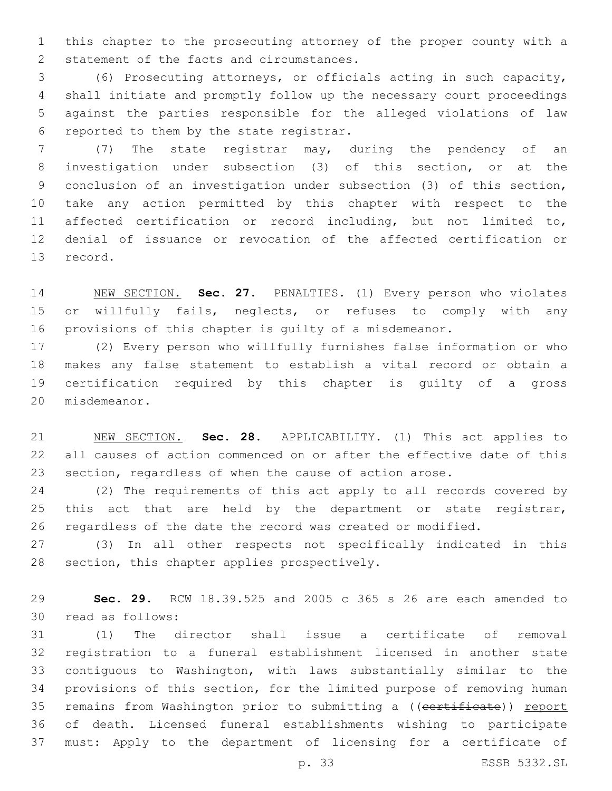this chapter to the prosecuting attorney of the proper county with a 2 statement of the facts and circumstances.

 (6) Prosecuting attorneys, or officials acting in such capacity, shall initiate and promptly follow up the necessary court proceedings against the parties responsible for the alleged violations of law 6 reported to them by the state registrar.

 (7) The state registrar may, during the pendency of an investigation under subsection (3) of this section, or at the conclusion of an investigation under subsection (3) of this section, take any action permitted by this chapter with respect to the affected certification or record including, but not limited to, denial of issuance or revocation of the affected certification or 13 record.

 NEW SECTION. **Sec. 27.** PENALTIES. (1) Every person who violates 15 or willfully fails, neglects, or refuses to comply with any provisions of this chapter is guilty of a misdemeanor.

 (2) Every person who willfully furnishes false information or who makes any false statement to establish a vital record or obtain a certification required by this chapter is guilty of a gross 20 misdemeanor.

 NEW SECTION. **Sec. 28.** APPLICABILITY. (1) This act applies to all causes of action commenced on or after the effective date of this section, regardless of when the cause of action arose.

 (2) The requirements of this act apply to all records covered by 25 this act that are held by the department or state registrar, regardless of the date the record was created or modified.

 (3) In all other respects not specifically indicated in this 28 section, this chapter applies prospectively.

 **Sec. 29.** RCW 18.39.525 and 2005 c 365 s 26 are each amended to 30 read as follows:

 (1) The director shall issue a certificate of removal registration to a funeral establishment licensed in another state contiguous to Washington, with laws substantially similar to the provisions of this section, for the limited purpose of removing human 35 remains from Washington prior to submitting a ((certificate)) report of death. Licensed funeral establishments wishing to participate must: Apply to the department of licensing for a certificate of

p. 33 ESSB 5332.SL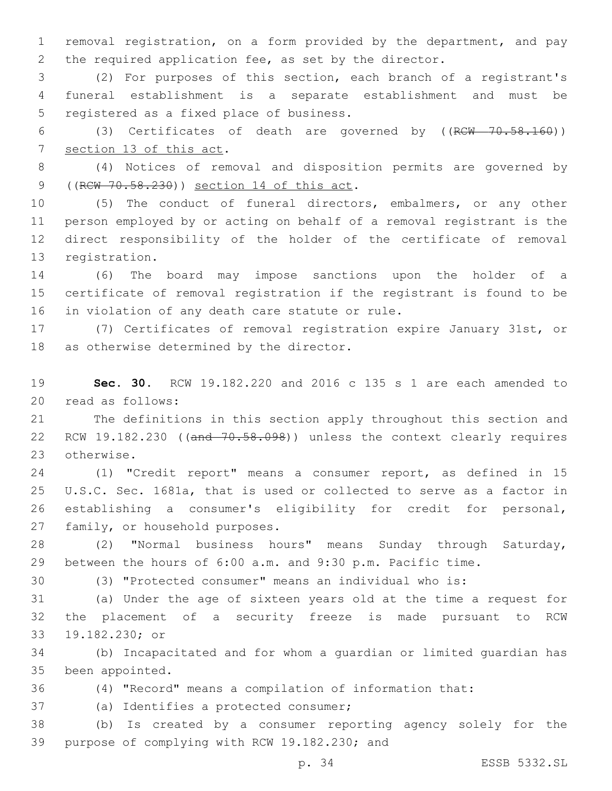removal registration, on a form provided by the department, and pay the required application fee, as set by the director.

 (2) For purposes of this section, each branch of a registrant's funeral establishment is a separate establishment and must be 5 registered as a fixed place of business.

 (3) Certificates of death are governed by ((RCW 70.58.160)) 7 section 13 of this act.

 (4) Notices of removal and disposition permits are governed by 9 ((RCW 70.58.230)) section 14 of this act.

 (5) The conduct of funeral directors, embalmers, or any other person employed by or acting on behalf of a removal registrant is the direct responsibility of the holder of the certificate of removal 13 registration.

 (6) The board may impose sanctions upon the holder of a certificate of removal registration if the registrant is found to be 16 in violation of any death care statute or rule.

 (7) Certificates of removal registration expire January 31st, or 18 as otherwise determined by the director.

 **Sec. 30.** RCW 19.182.220 and 2016 c 135 s 1 are each amended to 20 read as follows:

 The definitions in this section apply throughout this section and 22 RCW 19.182.230 ((and 70.58.098)) unless the context clearly requires 23 otherwise.

 (1) "Credit report" means a consumer report, as defined in 15 U.S.C. Sec. 1681a, that is used or collected to serve as a factor in establishing a consumer's eligibility for credit for personal, 27 family, or household purposes.

 (2) "Normal business hours" means Sunday through Saturday, between the hours of 6:00 a.m. and 9:30 p.m. Pacific time.

(3) "Protected consumer" means an individual who is:

 (a) Under the age of sixteen years old at the time a request for the placement of a security freeze is made pursuant to RCW 33 19.182.230; or

 (b) Incapacitated and for whom a guardian or limited guardian has 35 been appointed.

(4) "Record" means a compilation of information that:

37 (a) Identifies a protected consumer;

 (b) Is created by a consumer reporting agency solely for the 39 purpose of complying with RCW 19.182.230; and

p. 34 ESSB 5332.SL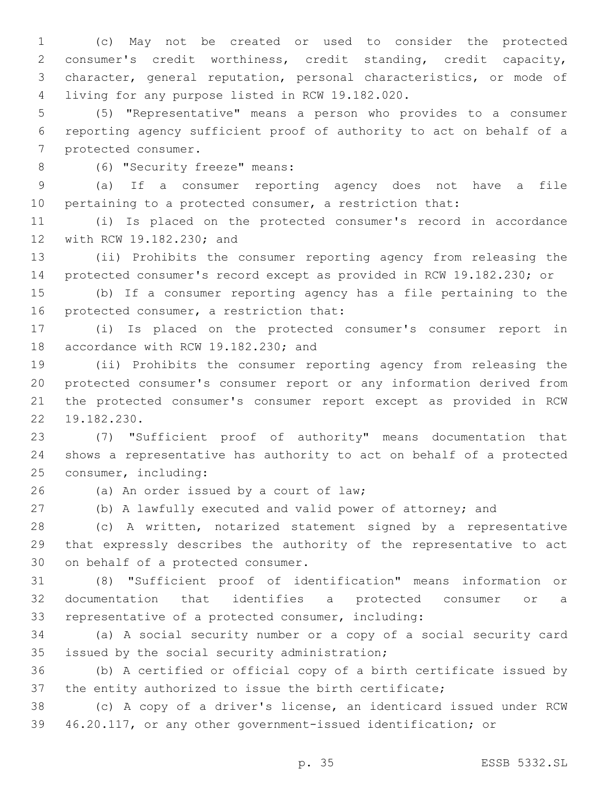(c) May not be created or used to consider the protected consumer's credit worthiness, credit standing, credit capacity, character, general reputation, personal characteristics, or mode of living for any purpose listed in RCW 19.182.020.4

 (5) "Representative" means a person who provides to a consumer reporting agency sufficient proof of authority to act on behalf of a 7 protected consumer.

8 (6) "Security freeze" means:

 (a) If a consumer reporting agency does not have a file pertaining to a protected consumer, a restriction that:

 (i) Is placed on the protected consumer's record in accordance 12 with RCW 19.182.230; and

 (ii) Prohibits the consumer reporting agency from releasing the protected consumer's record except as provided in RCW 19.182.230; or

 (b) If a consumer reporting agency has a file pertaining to the 16 protected consumer, a restriction that:

 (i) Is placed on the protected consumer's consumer report in 18 accordance with RCW 19.182.230; and

 (ii) Prohibits the consumer reporting agency from releasing the protected consumer's consumer report or any information derived from the protected consumer's consumer report except as provided in RCW 22 19.182.230.

 (7) "Sufficient proof of authority" means documentation that shows a representative has authority to act on behalf of a protected 25 consumer, including:

(a) An order issued by a court of law;26

(b) A lawfully executed and valid power of attorney; and

 (c) A written, notarized statement signed by a representative that expressly describes the authority of the representative to act 30 on behalf of a protected consumer.

 (8) "Sufficient proof of identification" means information or documentation that identifies a protected consumer or a representative of a protected consumer, including:

 (a) A social security number or a copy of a social security card 35 issued by the social security administration;

 (b) A certified or official copy of a birth certificate issued by the entity authorized to issue the birth certificate;

 (c) A copy of a driver's license, an identicard issued under RCW 46.20.117, or any other government-issued identification; or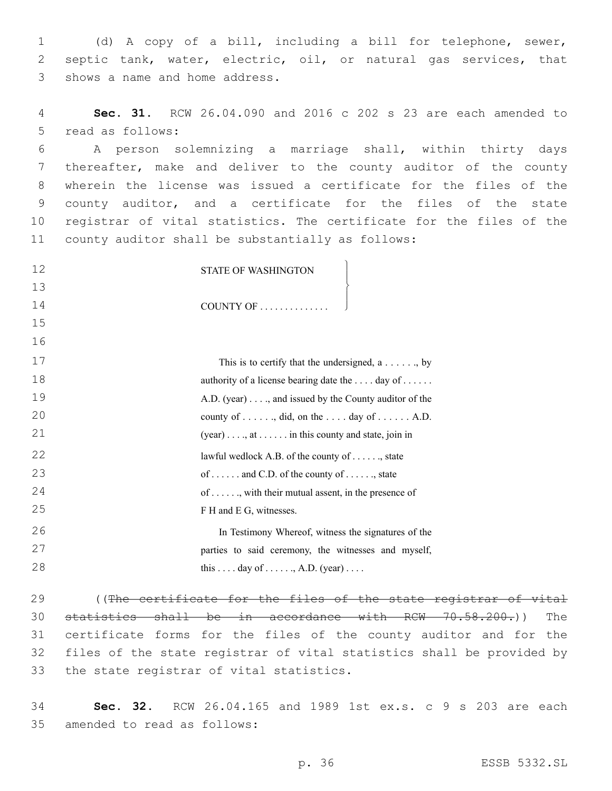1 (d) A copy of a bill, including a bill for telephone, sewer, 2 septic tank, water, electric, oil, or natural gas services, that 3 shows a name and home address.

4 **Sec. 31.** RCW 26.04.090 and 2016 c 202 s 23 are each amended to 5 read as follows:

 A person solemnizing a marriage shall, within thirty days thereafter, make and deliver to the county auditor of the county wherein the license was issued a certificate for the files of the county auditor, and a certificate for the files of the state registrar of vital statistics. The certificate for the files of the 11 county auditor shall be substantially as follows:

| 12 | STATE OF WASHINGTON                                                    |
|----|------------------------------------------------------------------------|
| 13 |                                                                        |
| 14 | COUNTY OF                                                              |
| 15 |                                                                        |
| 16 |                                                                        |
| 17 | This is to certify that the undersigned, $a \ldots \ldots$ , by        |
| 18 | authority of a license bearing date the  . day of                      |
| 19 | A.D. (year), and issued by the County auditor of the                   |
| 20 | county of , did, on the day of A.D.                                    |
| 21 | $(year) \ldots$ , at $\ldots \ldots$ in this county and state, join in |
| 22 | lawful wedlock A.B. of the county of $\dots$ , state                   |
| 23 | of  and C.D. of the county of , state                                  |
| 24 | of , with their mutual assent, in the presence of                      |
| 25 | F H and E G, witnesses.                                                |
| 26 | In Testimony Whereof, witness the signatures of the                    |
| 27 | parties to said ceremony, the witnesses and myself,                    |
| 28 | this  . day of   , A.D. (year)                                         |
| 29 | cortificate for the files of the state<br>$($ $($ The                  |

29 ((The certificate for the files of the state registrar of vital 30 statistics shall be in accordance with RCW 70.58.200.)) The 31 certificate forms for the files of the county auditor and for the 32 files of the state registrar of vital statistics shall be provided by 33 the state registrar of vital statistics.

34 **Sec. 32.** RCW 26.04.165 and 1989 1st ex.s. c 9 s 203 are each 35 amended to read as follows: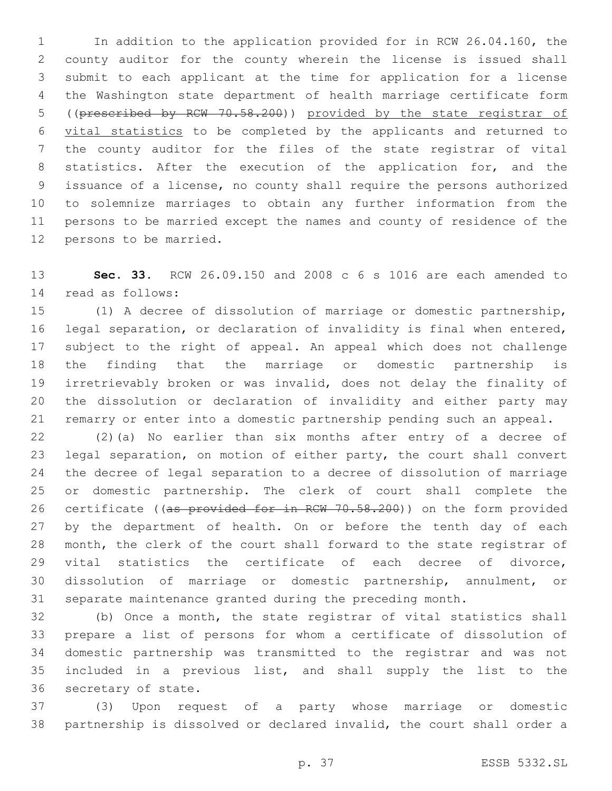In addition to the application provided for in RCW 26.04.160, the county auditor for the county wherein the license is issued shall submit to each applicant at the time for application for a license the Washington state department of health marriage certificate form ((prescribed by RCW 70.58.200)) provided by the state registrar of vital statistics to be completed by the applicants and returned to the county auditor for the files of the state registrar of vital 8 statistics. After the execution of the application for, and the issuance of a license, no county shall require the persons authorized to solemnize marriages to obtain any further information from the persons to be married except the names and county of residence of the 12 persons to be married.

 **Sec. 33.** RCW 26.09.150 and 2008 c 6 s 1016 are each amended to 14 read as follows:

 (1) A decree of dissolution of marriage or domestic partnership, legal separation, or declaration of invalidity is final when entered, subject to the right of appeal. An appeal which does not challenge the finding that the marriage or domestic partnership is irretrievably broken or was invalid, does not delay the finality of the dissolution or declaration of invalidity and either party may remarry or enter into a domestic partnership pending such an appeal.

 (2)(a) No earlier than six months after entry of a decree of legal separation, on motion of either party, the court shall convert the decree of legal separation to a decree of dissolution of marriage or domestic partnership. The clerk of court shall complete the 26 certificate ((as provided for in RCW 70.58.200)) on the form provided 27 by the department of health. On or before the tenth day of each month, the clerk of the court shall forward to the state registrar of vital statistics the certificate of each decree of divorce, dissolution of marriage or domestic partnership, annulment, or separate maintenance granted during the preceding month.

 (b) Once a month, the state registrar of vital statistics shall prepare a list of persons for whom a certificate of dissolution of domestic partnership was transmitted to the registrar and was not included in a previous list, and shall supply the list to the 36 secretary of state.

 (3) Upon request of a party whose marriage or domestic partnership is dissolved or declared invalid, the court shall order a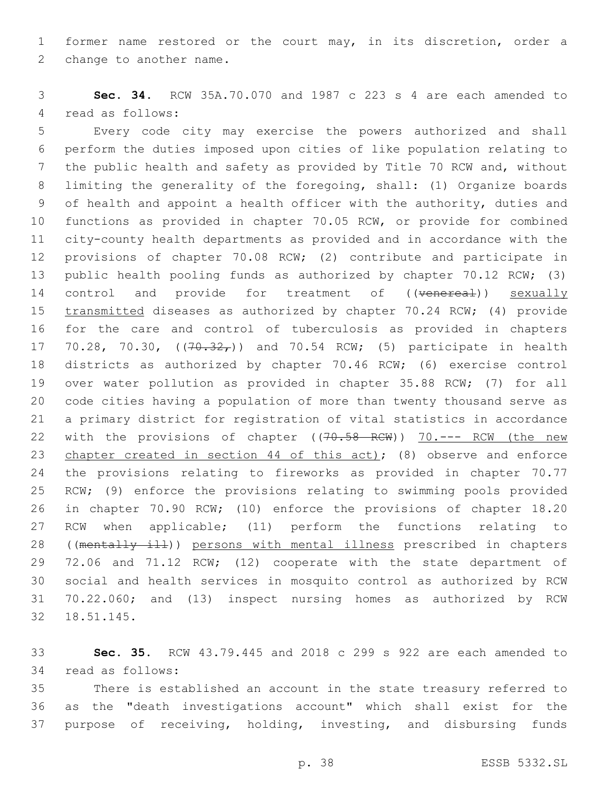former name restored or the court may, in its discretion, order a 2 change to another name.

 **Sec. 34.** RCW 35A.70.070 and 1987 c 223 s 4 are each amended to 4 read as follows:

 Every code city may exercise the powers authorized and shall perform the duties imposed upon cities of like population relating to the public health and safety as provided by Title 70 RCW and, without limiting the generality of the foregoing, shall: (1) Organize boards of health and appoint a health officer with the authority, duties and functions as provided in chapter 70.05 RCW, or provide for combined city-county health departments as provided and in accordance with the provisions of chapter 70.08 RCW; (2) contribute and participate in 13 public health pooling funds as authorized by chapter 70.12 RCW; (3) 14 control and provide for treatment of ((venereal)) sexually transmitted diseases as authorized by chapter 70.24 RCW; (4) provide for the care and control of tuberculosis as provided in chapters 17 70.28, 70.30, ((70.32,)) and 70.54 RCW; (5) participate in health districts as authorized by chapter 70.46 RCW; (6) exercise control over water pollution as provided in chapter 35.88 RCW; (7) for all code cities having a population of more than twenty thousand serve as a primary district for registration of vital statistics in accordance 22 with the provisions of chapter ((70.58 RCW)) 70.--- RCW (the new 23 chapter created in section 44 of this act); (8) observe and enforce the provisions relating to fireworks as provided in chapter 70.77 RCW; (9) enforce the provisions relating to swimming pools provided in chapter 70.90 RCW; (10) enforce the provisions of chapter 18.20 RCW when applicable; (11) perform the functions relating to 28 ((mentally ill)) persons with mental illness prescribed in chapters 29 72.06 and 71.12 RCW; (12) cooperate with the state department of social and health services in mosquito control as authorized by RCW 70.22.060; and (13) inspect nursing homes as authorized by RCW 18.51.145.32

 **Sec. 35.** RCW 43.79.445 and 2018 c 299 s 922 are each amended to 34 read as follows:

 There is established an account in the state treasury referred to as the "death investigations account" which shall exist for the purpose of receiving, holding, investing, and disbursing funds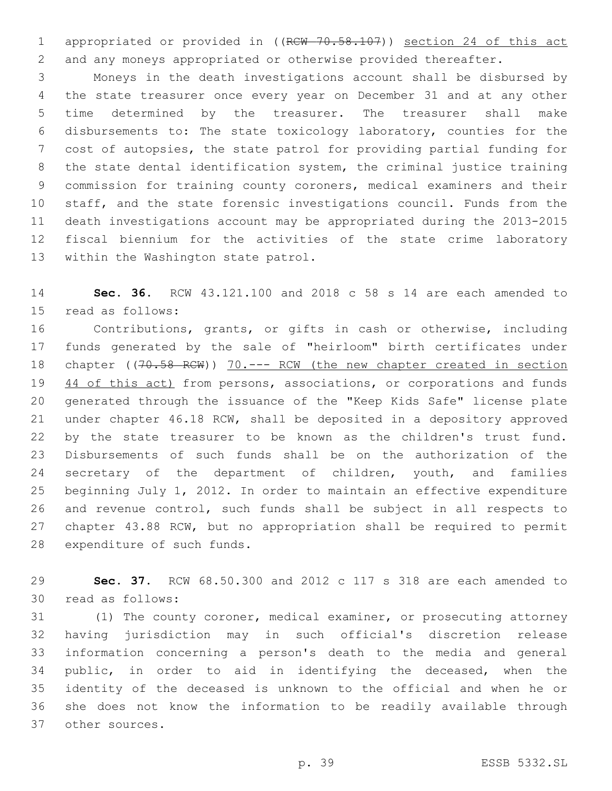1 appropriated or provided in ((RCW 70.58.107)) section 24 of this act and any moneys appropriated or otherwise provided thereafter.

 Moneys in the death investigations account shall be disbursed by the state treasurer once every year on December 31 and at any other time determined by the treasurer. The treasurer shall make disbursements to: The state toxicology laboratory, counties for the cost of autopsies, the state patrol for providing partial funding for the state dental identification system, the criminal justice training commission for training county coroners, medical examiners and their staff, and the state forensic investigations council. Funds from the death investigations account may be appropriated during the 2013-2015 fiscal biennium for the activities of the state crime laboratory 13 within the Washington state patrol.

 **Sec. 36.** RCW 43.121.100 and 2018 c 58 s 14 are each amended to 15 read as follows:

 Contributions, grants, or gifts in cash or otherwise, including funds generated by the sale of "heirloom" birth certificates under 18 chapter ((70.58 RCW)) 70.--- RCW (the new chapter created in section 19 44 of this act) from persons, associations, or corporations and funds generated through the issuance of the "Keep Kids Safe" license plate under chapter 46.18 RCW, shall be deposited in a depository approved by the state treasurer to be known as the children's trust fund. Disbursements of such funds shall be on the authorization of the 24 secretary of the department of children, youth, and families beginning July 1, 2012. In order to maintain an effective expenditure and revenue control, such funds shall be subject in all respects to chapter 43.88 RCW, but no appropriation shall be required to permit 28 expenditure of such funds.

 **Sec. 37.** RCW 68.50.300 and 2012 c 117 s 318 are each amended to 30 read as follows:

 (1) The county coroner, medical examiner, or prosecuting attorney having jurisdiction may in such official's discretion release information concerning a person's death to the media and general public, in order to aid in identifying the deceased, when the identity of the deceased is unknown to the official and when he or she does not know the information to be readily available through other sources.37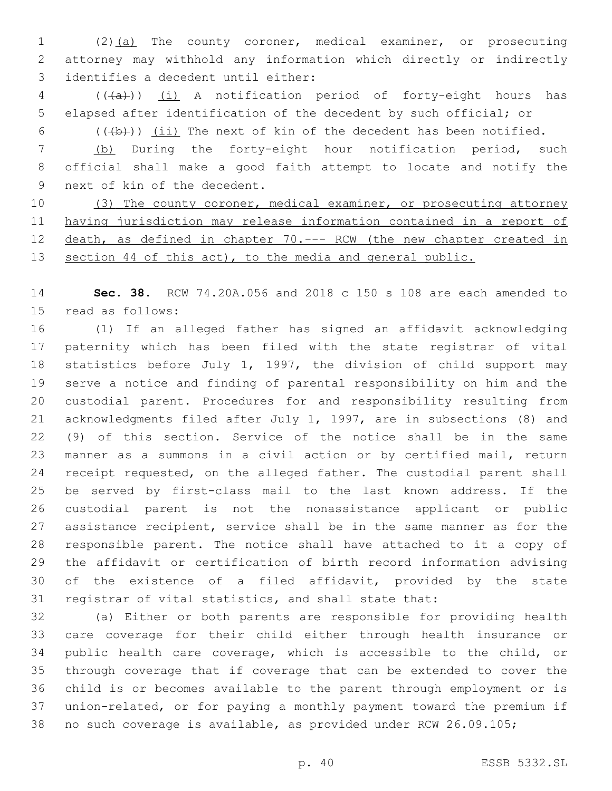(2)(a) The county coroner, medical examiner, or prosecuting attorney may withhold any information which directly or indirectly 3 identifies a decedent until either:

4 (((a)) (i) A notification period of forty-eight hours has elapsed after identification of the decedent by such official; or

6  $((+b))$  (ii) The next of kin of the decedent has been notified.

 (b) During the forty-eight hour notification period, such official shall make a good faith attempt to locate and notify the 9 next of kin of the decedent.

10 (3) The county coroner, medical examiner, or prosecuting attorney having jurisdiction may release information contained in a report of death, as defined in chapter 70.--- RCW (the new chapter created in 13 section 44 of this act), to the media and general public.

 **Sec. 38.** RCW 74.20A.056 and 2018 c 150 s 108 are each amended to 15 read as follows:

 (1) If an alleged father has signed an affidavit acknowledging paternity which has been filed with the state registrar of vital statistics before July 1, 1997, the division of child support may serve a notice and finding of parental responsibility on him and the custodial parent. Procedures for and responsibility resulting from acknowledgments filed after July 1, 1997, are in subsections (8) and (9) of this section. Service of the notice shall be in the same manner as a summons in a civil action or by certified mail, return 24 receipt requested, on the alleged father. The custodial parent shall be served by first-class mail to the last known address. If the custodial parent is not the nonassistance applicant or public assistance recipient, service shall be in the same manner as for the responsible parent. The notice shall have attached to it a copy of the affidavit or certification of birth record information advising of the existence of a filed affidavit, provided by the state registrar of vital statistics, and shall state that:

 (a) Either or both parents are responsible for providing health care coverage for their child either through health insurance or public health care coverage, which is accessible to the child, or through coverage that if coverage that can be extended to cover the child is or becomes available to the parent through employment or is union-related, or for paying a monthly payment toward the premium if no such coverage is available, as provided under RCW 26.09.105;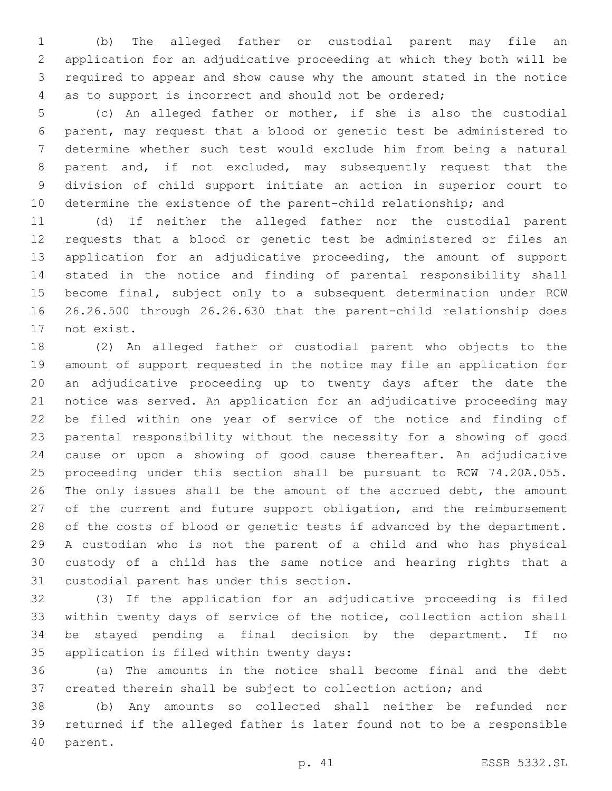(b) The alleged father or custodial parent may file an application for an adjudicative proceeding at which they both will be required to appear and show cause why the amount stated in the notice as to support is incorrect and should not be ordered;

 (c) An alleged father or mother, if she is also the custodial parent, may request that a blood or genetic test be administered to determine whether such test would exclude him from being a natural parent and, if not excluded, may subsequently request that the division of child support initiate an action in superior court to determine the existence of the parent-child relationship; and

 (d) If neither the alleged father nor the custodial parent requests that a blood or genetic test be administered or files an application for an adjudicative proceeding, the amount of support stated in the notice and finding of parental responsibility shall become final, subject only to a subsequent determination under RCW 26.26.500 through 26.26.630 that the parent-child relationship does 17 not exist.

 (2) An alleged father or custodial parent who objects to the amount of support requested in the notice may file an application for an adjudicative proceeding up to twenty days after the date the notice was served. An application for an adjudicative proceeding may be filed within one year of service of the notice and finding of parental responsibility without the necessity for a showing of good cause or upon a showing of good cause thereafter. An adjudicative proceeding under this section shall be pursuant to RCW 74.20A.055. The only issues shall be the amount of the accrued debt, the amount 27 of the current and future support obligation, and the reimbursement 28 of the costs of blood or genetic tests if advanced by the department. A custodian who is not the parent of a child and who has physical custody of a child has the same notice and hearing rights that a 31 custodial parent has under this section.

 (3) If the application for an adjudicative proceeding is filed within twenty days of service of the notice, collection action shall be stayed pending a final decision by the department. If no 35 application is filed within twenty days:

 (a) The amounts in the notice shall become final and the debt created therein shall be subject to collection action; and

 (b) Any amounts so collected shall neither be refunded nor returned if the alleged father is later found not to be a responsible 40 parent.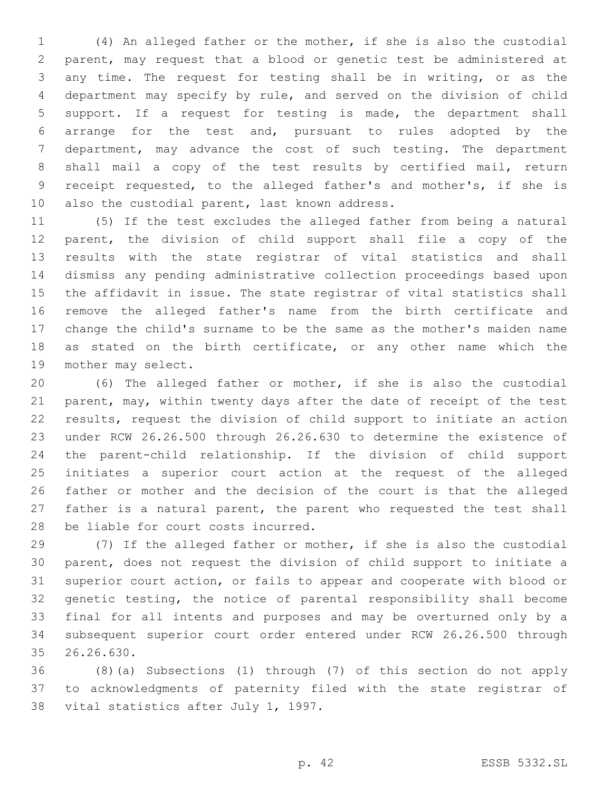(4) An alleged father or the mother, if she is also the custodial parent, may request that a blood or genetic test be administered at any time. The request for testing shall be in writing, or as the department may specify by rule, and served on the division of child support. If a request for testing is made, the department shall arrange for the test and, pursuant to rules adopted by the department, may advance the cost of such testing. The department shall mail a copy of the test results by certified mail, return receipt requested, to the alleged father's and mother's, if she is 10 also the custodial parent, last known address.

 (5) If the test excludes the alleged father from being a natural parent, the division of child support shall file a copy of the results with the state registrar of vital statistics and shall dismiss any pending administrative collection proceedings based upon the affidavit in issue. The state registrar of vital statistics shall remove the alleged father's name from the birth certificate and change the child's surname to be the same as the mother's maiden name as stated on the birth certificate, or any other name which the 19 mother may select.

 (6) The alleged father or mother, if she is also the custodial parent, may, within twenty days after the date of receipt of the test results, request the division of child support to initiate an action under RCW 26.26.500 through 26.26.630 to determine the existence of the parent-child relationship. If the division of child support initiates a superior court action at the request of the alleged father or mother and the decision of the court is that the alleged father is a natural parent, the parent who requested the test shall 28 be liable for court costs incurred.

 (7) If the alleged father or mother, if she is also the custodial parent, does not request the division of child support to initiate a superior court action, or fails to appear and cooperate with blood or genetic testing, the notice of parental responsibility shall become final for all intents and purposes and may be overturned only by a subsequent superior court order entered under RCW 26.26.500 through 35 26.26.630.

 (8)(a) Subsections (1) through (7) of this section do not apply to acknowledgments of paternity filed with the state registrar of 38 vital statistics after July 1, 1997.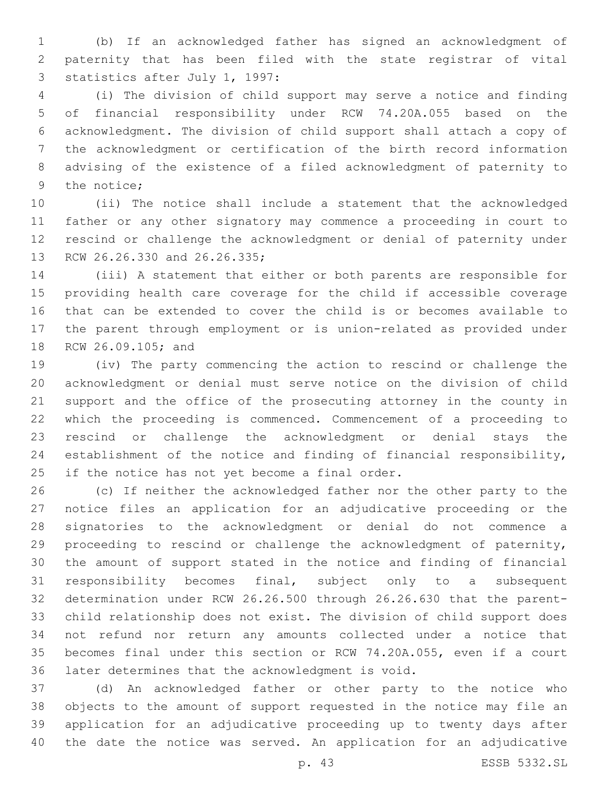(b) If an acknowledged father has signed an acknowledgment of paternity that has been filed with the state registrar of vital 3 statistics after July 1, 1997:

 (i) The division of child support may serve a notice and finding of financial responsibility under RCW 74.20A.055 based on the acknowledgment. The division of child support shall attach a copy of the acknowledgment or certification of the birth record information advising of the existence of a filed acknowledgment of paternity to 9 the notice:

 (ii) The notice shall include a statement that the acknowledged father or any other signatory may commence a proceeding in court to rescind or challenge the acknowledgment or denial of paternity under 13 RCW 26.26.330 and 26.26.335;

 (iii) A statement that either or both parents are responsible for providing health care coverage for the child if accessible coverage that can be extended to cover the child is or becomes available to the parent through employment or is union-related as provided under 18 RCW 26.09.105; and

 (iv) The party commencing the action to rescind or challenge the acknowledgment or denial must serve notice on the division of child support and the office of the prosecuting attorney in the county in which the proceeding is commenced. Commencement of a proceeding to rescind or challenge the acknowledgment or denial stays the establishment of the notice and finding of financial responsibility, 25 if the notice has not yet become a final order.

 (c) If neither the acknowledged father nor the other party to the notice files an application for an adjudicative proceeding or the signatories to the acknowledgment or denial do not commence a proceeding to rescind or challenge the acknowledgment of paternity, the amount of support stated in the notice and finding of financial responsibility becomes final, subject only to a subsequent determination under RCW 26.26.500 through 26.26.630 that the parent- child relationship does not exist. The division of child support does not refund nor return any amounts collected under a notice that becomes final under this section or RCW 74.20A.055, even if a court 36 later determines that the acknowledgment is void.

 (d) An acknowledged father or other party to the notice who objects to the amount of support requested in the notice may file an application for an adjudicative proceeding up to twenty days after the date the notice was served. An application for an adjudicative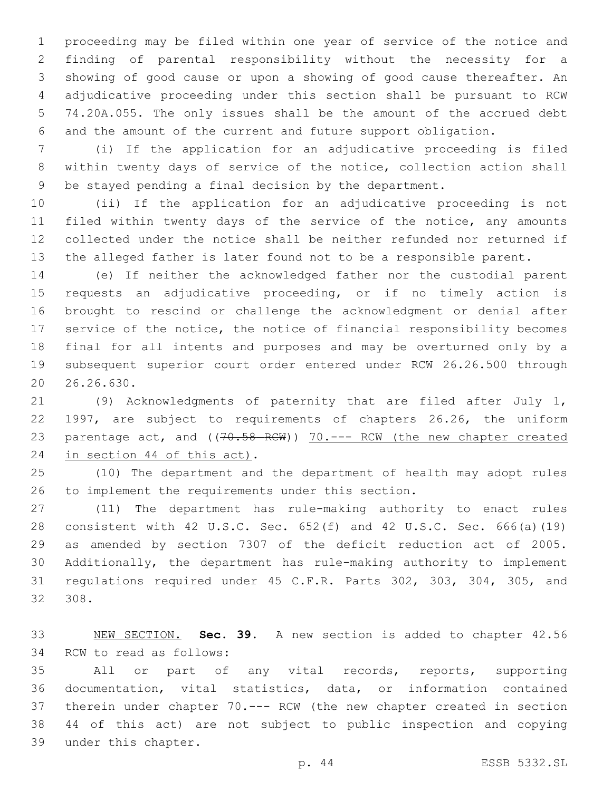proceeding may be filed within one year of service of the notice and finding of parental responsibility without the necessity for a showing of good cause or upon a showing of good cause thereafter. An adjudicative proceeding under this section shall be pursuant to RCW 74.20A.055. The only issues shall be the amount of the accrued debt and the amount of the current and future support obligation.

 (i) If the application for an adjudicative proceeding is filed within twenty days of service of the notice, collection action shall be stayed pending a final decision by the department.

 (ii) If the application for an adjudicative proceeding is not 11 filed within twenty days of the service of the notice, any amounts collected under the notice shall be neither refunded nor returned if the alleged father is later found not to be a responsible parent.

 (e) If neither the acknowledged father nor the custodial parent requests an adjudicative proceeding, or if no timely action is brought to rescind or challenge the acknowledgment or denial after service of the notice, the notice of financial responsibility becomes final for all intents and purposes and may be overturned only by a subsequent superior court order entered under RCW 26.26.500 through 20.26.630.

 (9) Acknowledgments of paternity that are filed after July 1, 1997, are subject to requirements of chapters 26.26, the uniform 23 parentage act, and ((70.58 RCW)) 70.--- RCW (the new chapter created 24 in section 44 of this act).

 (10) The department and the department of health may adopt rules 26 to implement the requirements under this section.

 (11) The department has rule-making authority to enact rules consistent with 42 U.S.C. Sec. 652(f) and 42 U.S.C. Sec. 666(a)(19) as amended by section 7307 of the deficit reduction act of 2005. Additionally, the department has rule-making authority to implement regulations required under 45 C.F.R. Parts 302, 303, 304, 305, and 308.

 NEW SECTION. **Sec. 39.** A new section is added to chapter 42.56 34 RCW to read as follows:

 All or part of any vital records, reports, supporting documentation, vital statistics, data, or information contained therein under chapter 70.--- RCW (the new chapter created in section 44 of this act) are not subject to public inspection and copying 39 under this chapter.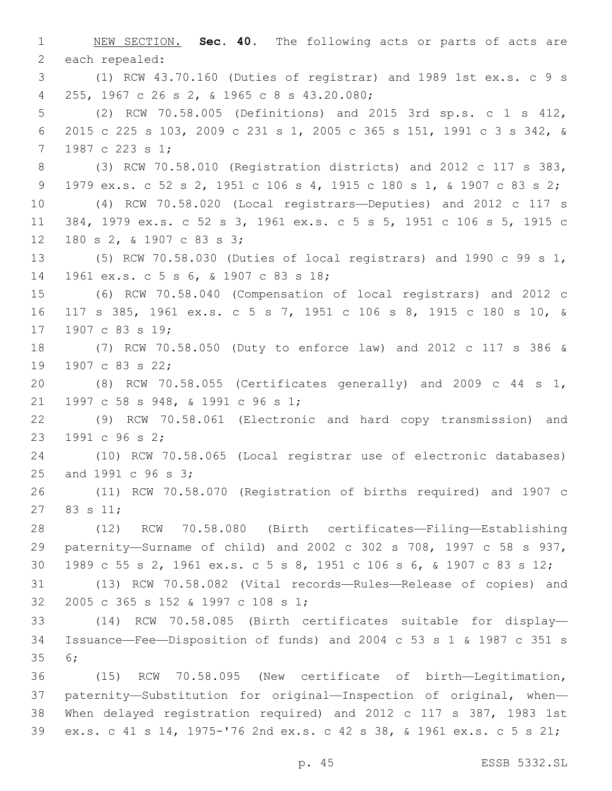NEW SECTION. **Sec. 40.** The following acts or parts of acts are each repealed: (1) RCW 43.70.160 (Duties of registrar) and 1989 1st ex.s. c 9 s 255, 1967 c 26 s 2, & 1965 c 8 s 43.20.080;4 (2) RCW 70.58.005 (Definitions) and 2015 3rd sp.s. c 1 s 412, 2015 c 225 s 103, 2009 c 231 s 1, 2005 c 365 s 151, 1991 c 3 s 342, & 7 1987 c 223 s 1; (3) RCW 70.58.010 (Registration districts) and 2012 c 117 s 383, 1979 ex.s. c 52 s 2, 1951 c 106 s 4, 1915 c 180 s 1, & 1907 c 83 s 2; (4) RCW 70.58.020 (Local registrars—Deputies) and 2012 c 117 s 384, 1979 ex.s. c 52 s 3, 1961 ex.s. c 5 s 5, 1951 c 106 s 5, 1915 c 12 180 s 2, & 1907 c 83 s 3; (5) RCW 70.58.030 (Duties of local registrars) and 1990 c 99 s 1, 14 1961 ex.s. c 5 s 6, & 1907 c 83 s 18; (6) RCW 70.58.040 (Compensation of local registrars) and 2012 c 117 s 385, 1961 ex.s. c 5 s 7, 1951 c 106 s 8, 1915 c 180 s 10, & 17 1907 c 83 s 19; (7) RCW 70.58.050 (Duty to enforce law) and 2012 c 117 s 386 & 19 1907 c 83 s 22; (8) RCW 70.58.055 (Certificates generally) and 2009 c 44 s 1, 21 1997 c 58 s 948, & 1991 c 96 s 1; (9) RCW 70.58.061 (Electronic and hard copy transmission) and 23 1991 c 96 s 2; (10) RCW 70.58.065 (Local registrar use of electronic databases) 25 and 1991 c 96 s 3; (11) RCW 70.58.070 (Registration of births required) and 1907 c 27 83 s 11; (12) RCW 70.58.080 (Birth certificates—Filing—Establishing paternity—Surname of child) and 2002 c 302 s 708, 1997 c 58 s 937, 1989 c 55 s 2, 1961 ex.s. c 5 s 8, 1951 c 106 s 6, & 1907 c 83 s 12; (13) RCW 70.58.082 (Vital records—Rules—Release of copies) and 32 2005 c 365 s 152 & 1997 c 108 s 1; (14) RCW 70.58.085 (Birth certificates suitable for display— Issuance—Fee—Disposition of funds) and 2004 c 53 s 1 & 1987 c 351 s 35 6; (15) RCW 70.58.095 (New certificate of birth—Legitimation, paternity—Substitution for original—Inspection of original, when— When delayed registration required) and 2012 c 117 s 387, 1983 1st ex.s. c 41 s 14, 1975-'76 2nd ex.s. c 42 s 38, & 1961 ex.s. c 5 s 21;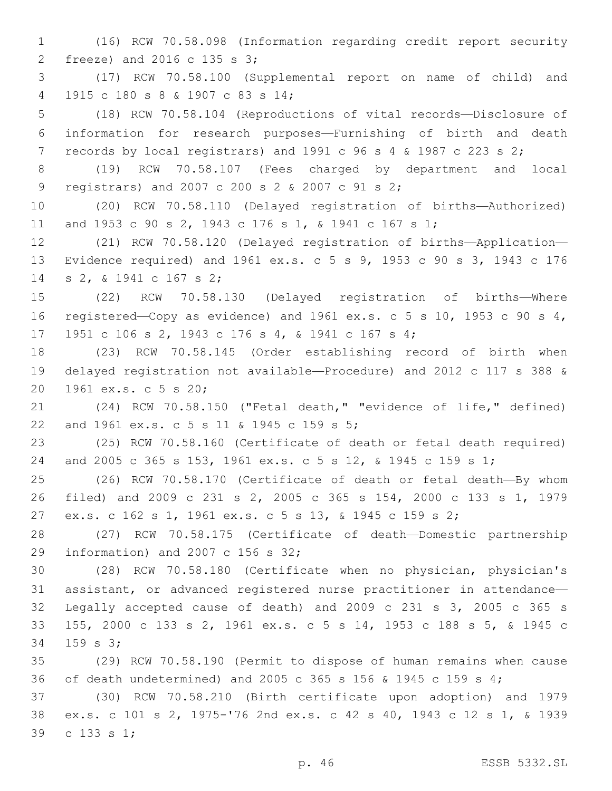(16) RCW 70.58.098 (Information regarding credit report security freeze) and 2016 c 135 s 3;2 (17) RCW 70.58.100 (Supplemental report on name of child) and 1915 c 180 s 8 & 1907 c 83 s 14;4 (18) RCW 70.58.104 (Reproductions of vital records—Disclosure of information for research purposes—Furnishing of birth and death records by local registrars) and 1991 c 96 s 4 & 1987 c 223 s 2; (19) RCW 70.58.107 (Fees charged by department and local registrars) and 2007 c 200 s 2 & 2007 c 91 s 2;9 (20) RCW 70.58.110 (Delayed registration of births—Authorized) and 1953 c 90 s 2, 1943 c 176 s 1, & 1941 c 167 s 1; (21) RCW 70.58.120 (Delayed registration of births—Application— Evidence required) and 1961 ex.s. c 5 s 9, 1953 c 90 s 3, 1943 c 176 14 s 2, & 1941 c 167 s 2; (22) RCW 70.58.130 (Delayed registration of births—Where registered—Copy as evidence) and 1961 ex.s. c 5 s 10, 1953 c 90 s 4, 17 1951 c 106 s 2, 1943 c 176 s 4, & 1941 c 167 s 4; (23) RCW 70.58.145 (Order establishing record of birth when delayed registration not available—Procedure) and 2012 c 117 s 388 & 20 1961 ex.s. c 5 s 20; (24) RCW 70.58.150 ("Fetal death," "evidence of life," defined) 22 and 1961 ex.s. c 5 s 11 & 1945 c 159 s 5; (25) RCW 70.58.160 (Certificate of death or fetal death required) and 2005 c 365 s 153, 1961 ex.s. c 5 s 12, & 1945 c 159 s 1; (26) RCW 70.58.170 (Certificate of death or fetal death—By whom filed) and 2009 c 231 s 2, 2005 c 365 s 154, 2000 c 133 s 1, 1979 ex.s. c 162 s 1, 1961 ex.s. c 5 s 13, & 1945 c 159 s 2; (27) RCW 70.58.175 (Certificate of death—Domestic partnership 29 information) and 2007 c 156 s  $32;$  (28) RCW 70.58.180 (Certificate when no physician, physician's assistant, or advanced registered nurse practitioner in attendance— Legally accepted cause of death) and 2009 c 231 s 3, 2005 c 365 s 155, 2000 c 133 s 2, 1961 ex.s. c 5 s 14, 1953 c 188 s 5, & 1945 c 34 159 s 3; (29) RCW 70.58.190 (Permit to dispose of human remains when cause of death undetermined) and 2005 c 365 s 156 & 1945 c 159 s 4; (30) RCW 70.58.210 (Birth certificate upon adoption) and 1979 ex.s. c 101 s 2, 1975-'76 2nd ex.s. c 42 s 40, 1943 c 12 s 1, & 1939 39 c 133 s 1;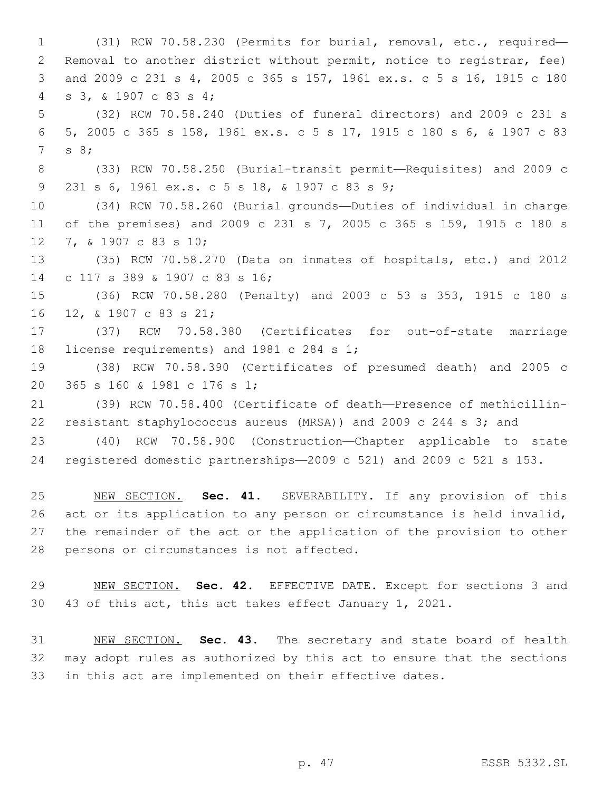(31) RCW 70.58.230 (Permits for burial, removal, etc., required— Removal to another district without permit, notice to registrar, fee) and 2009 c 231 s 4, 2005 c 365 s 157, 1961 ex.s. c 5 s 16, 1915 c 180 s 3, & 1907 c 83 s 4;4 (32) RCW 70.58.240 (Duties of funeral directors) and 2009 c 231 s 5, 2005 c 365 s 158, 1961 ex.s. c 5 s 17, 1915 c 180 s 6, & 1907 c 83 7 s 8; (33) RCW 70.58.250 (Burial-transit permit—Requisites) and 2009 c 9 231 s 6, 1961 ex.s. c 5 s 18, & 1907 c 83 s 9; (34) RCW 70.58.260 (Burial grounds—Duties of individual in charge of the premises) and 2009 c 231 s 7, 2005 c 365 s 159, 1915 c 180 s 12 7, & 1907 c 83 s 10; (35) RCW 70.58.270 (Data on inmates of hospitals, etc.) and 2012 c 117 s 389 & 1907 c 83 s 16;14 (36) RCW 70.58.280 (Penalty) and 2003 c 53 s 353, 1915 c 180 s 16 12, & 1907 c 83 s 21; (37) RCW 70.58.380 (Certificates for out-of-state marriage 18 license requirements) and 1981 c 284 s 1; (38) RCW 70.58.390 (Certificates of presumed death) and 2005 c 20 365 s 160 & 1981 c 176 s 1; (39) RCW 70.58.400 (Certificate of death—Presence of methicillin- resistant staphylococcus aureus (MRSA)) and 2009 c 244 s 3; and (40) RCW 70.58.900 (Construction—Chapter applicable to state registered domestic partnerships—2009 c 521) and 2009 c 521 s 153. NEW SECTION. **Sec. 41.** SEVERABILITY. If any provision of this

 act or its application to any person or circumstance is held invalid, the remainder of the act or the application of the provision to other persons or circumstances is not affected.

 NEW SECTION. **Sec. 42.** EFFECTIVE DATE. Except for sections 3 and 43 of this act, this act takes effect January 1, 2021.

 NEW SECTION. **Sec. 43.** The secretary and state board of health may adopt rules as authorized by this act to ensure that the sections in this act are implemented on their effective dates.